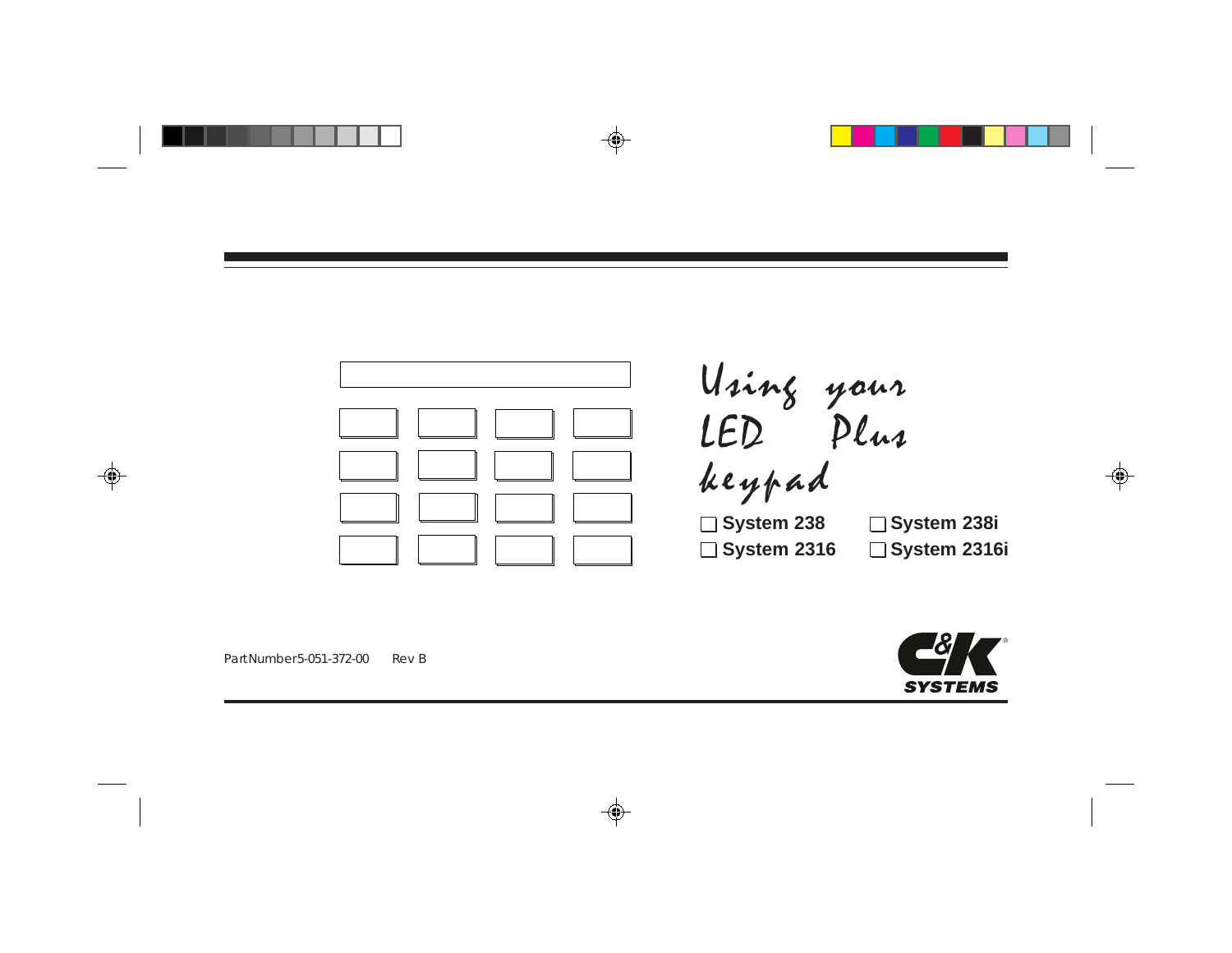



Part Number 5-051-372-00 Rev B

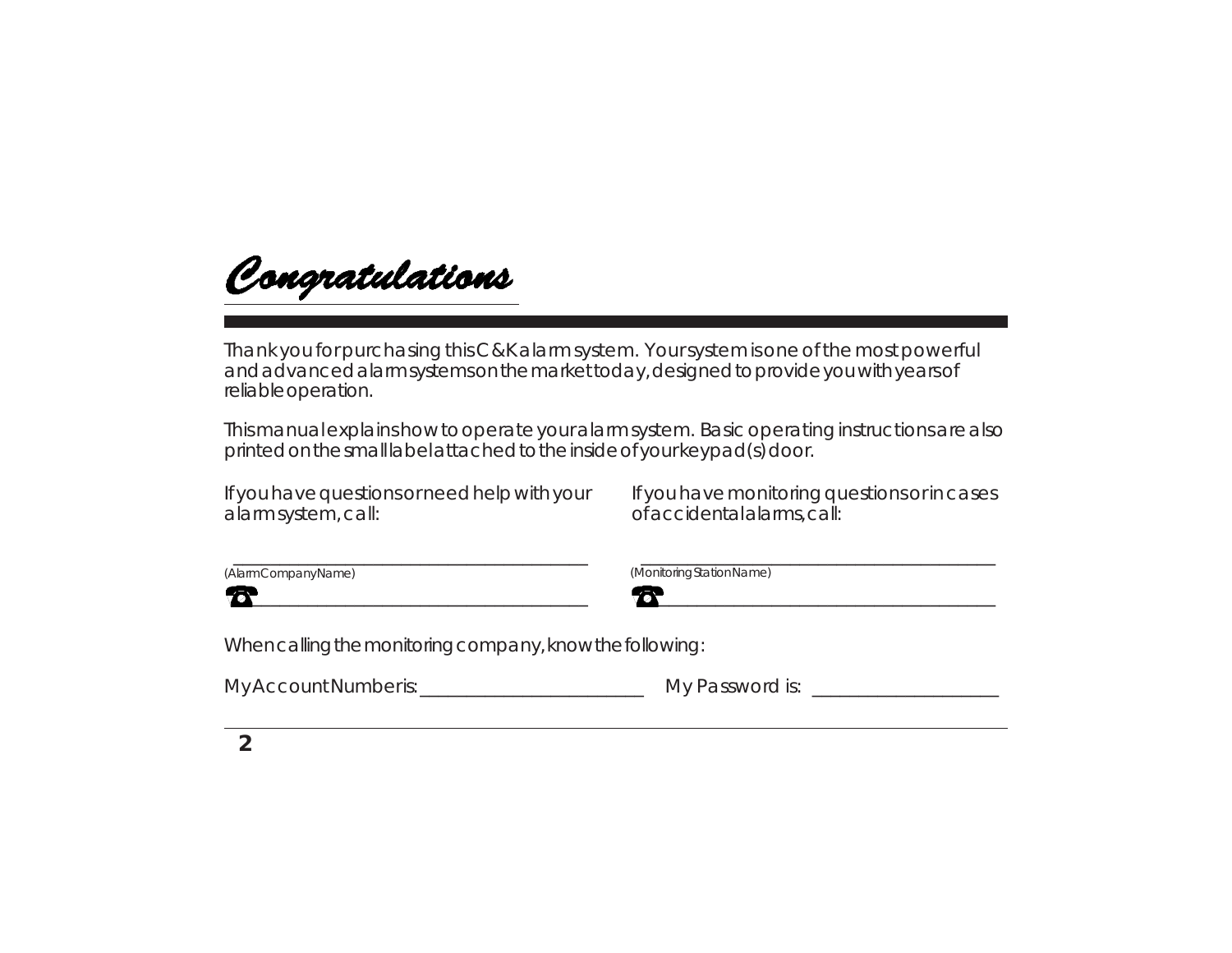Congratulations

Thank you for purchasing this C&K alarm system. Your system is one of the most powerful and advanced alarm systems on the market today, designed to provide you with years of reliable operation.

This manual explains how to operate your alarm system. Basic operating instructions are also printed on the small label attached to the inside of your keypad(s) door.

If you have questions or need help with your alarm system, call:

 $\Box$ 

If you have monitoring questions or in cases of accidental alarms, call:

\_\_\_\_\_\_\_\_\_\_\_\_\_\_\_\_\_\_\_\_\_\_\_\_\_\_\_\_\_\_\_\_\_\_\_\_\_\_

 $\boldsymbol{\mathcal{B}}$  , and the set of  $\boldsymbol{\mathcal{B}}$ 

 $\overline{\phantom{a}}$  , and the contract of the contract of the contract of the contract of the contract of the contract of the contract of the contract of the contract of the contract of the contract of the contract of the contrac

(Monitoring Station Name)

When calling the monitoring company, know the following:

My Account Number is:\_\_\_\_\_\_\_\_\_\_\_\_\_\_\_\_\_\_\_\_\_\_\_\_ My Password is: \_\_\_\_\_\_\_\_\_\_\_\_\_\_\_\_\_\_\_\_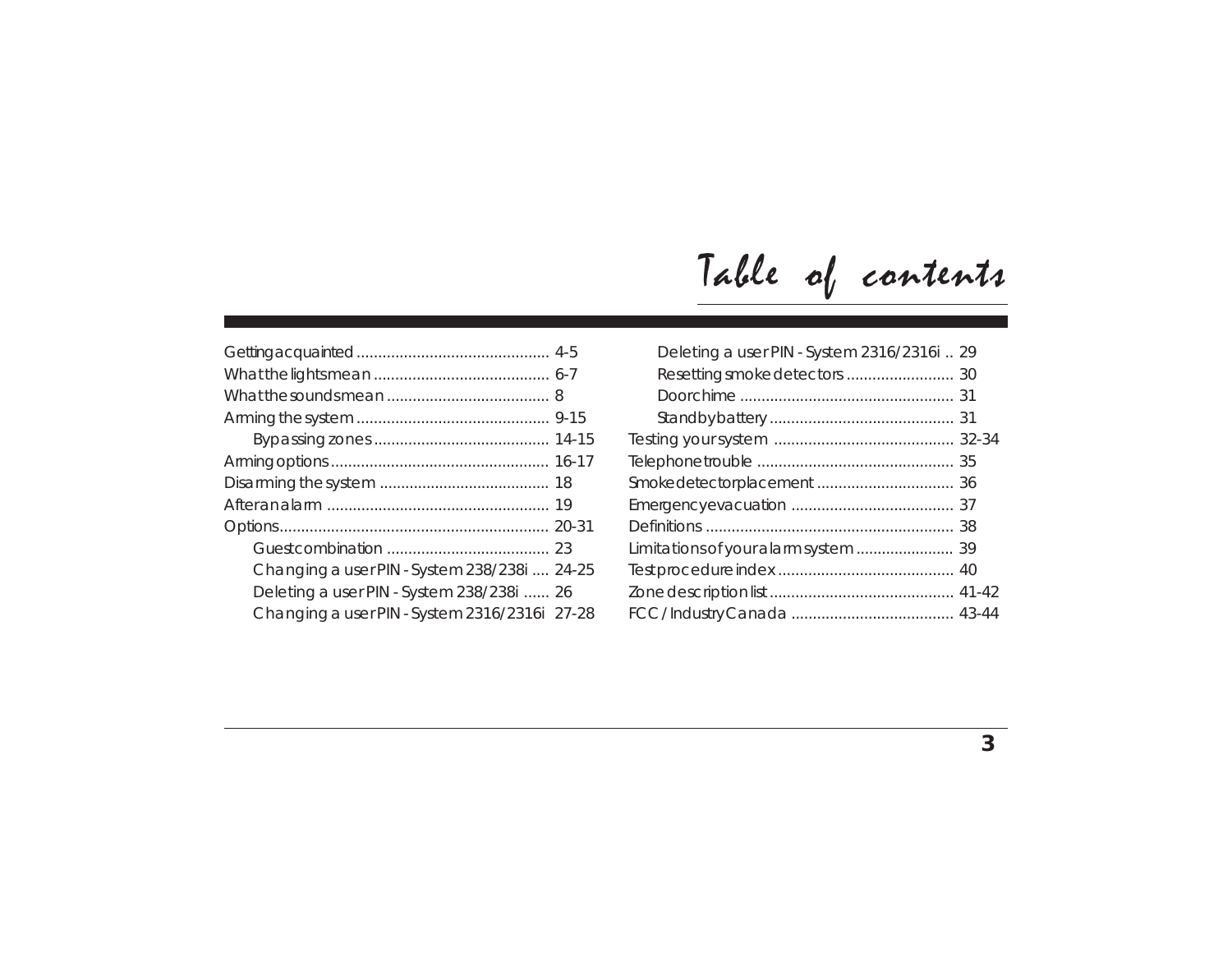|  |  | Table of contents |
|--|--|-------------------|
|--|--|-------------------|

| Changing a user PIN - System 238/238i  24-25  |  |
|-----------------------------------------------|--|
| Deleting a user PIN - System 238/238i  26     |  |
| Changing a user PIN - System 2316/2316i 27-28 |  |

| Deleting a user PIN - System 2316/2316i  29 |  |
|---------------------------------------------|--|
|                                             |  |
|                                             |  |
|                                             |  |
|                                             |  |
|                                             |  |
|                                             |  |
|                                             |  |
|                                             |  |
|                                             |  |
|                                             |  |
|                                             |  |
|                                             |  |
|                                             |  |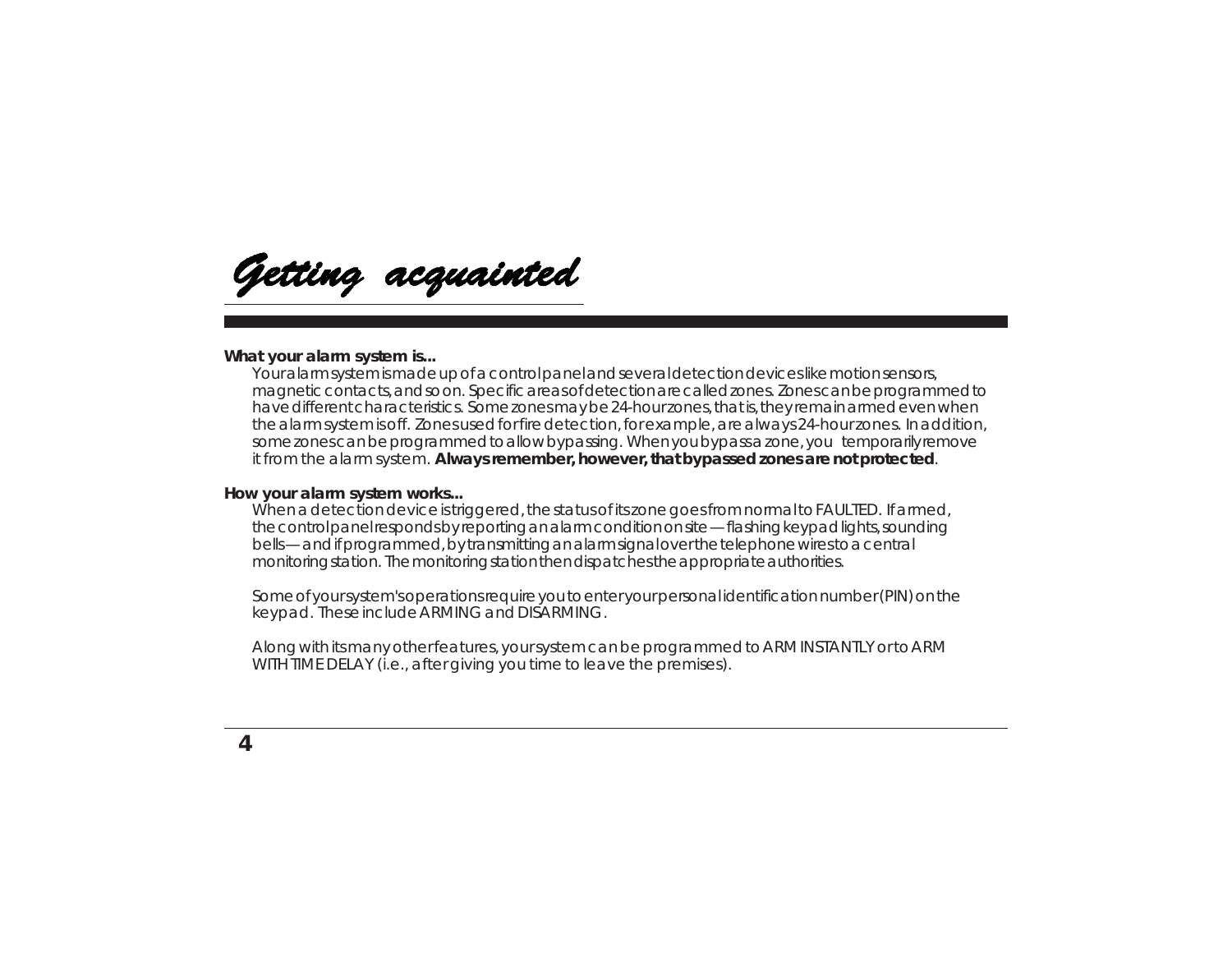Getting acquainted

#### **What your alarm system is...**

Your alarm system is made up of a control panel and several detection devices like motion sensors, magnetic contacts, and so on. Specific areas of detection are called zones. Zones can be programmed to have different characteristics. Some zones may be 24-hour zones, that is, they remain armed even when the alarm system is off. Zones used for fire detection, for example, are always 24-hour zones. In addition, some zones can be programmed to allow bypassing. When you bypass a zone, you temporarily remove it from the alarm system. **Always remember, however, that bypassed zones are not protected**.

#### **How your alarm system works...**

When a detection device is triggered, the status of its zone goes from normal to FAULTED. If armed, the control panel responds by reporting an alarm condition on site — flashing keypad lights, sounding bells — and if programmed, by transmitting an alarm signal over the telephone wires to a central monitoring station. The monitoring station then dispatches the appropriate authorities.

Some of your system's operations require you to enter your personal identification number (PIN) on the keypad. These include ARMING and DISARMING.

Along with its many other features, your system can be programmed to ARM INSTANTLY or to ARM WITH TIME DELAY (i.e., after giving you time to leave the premises).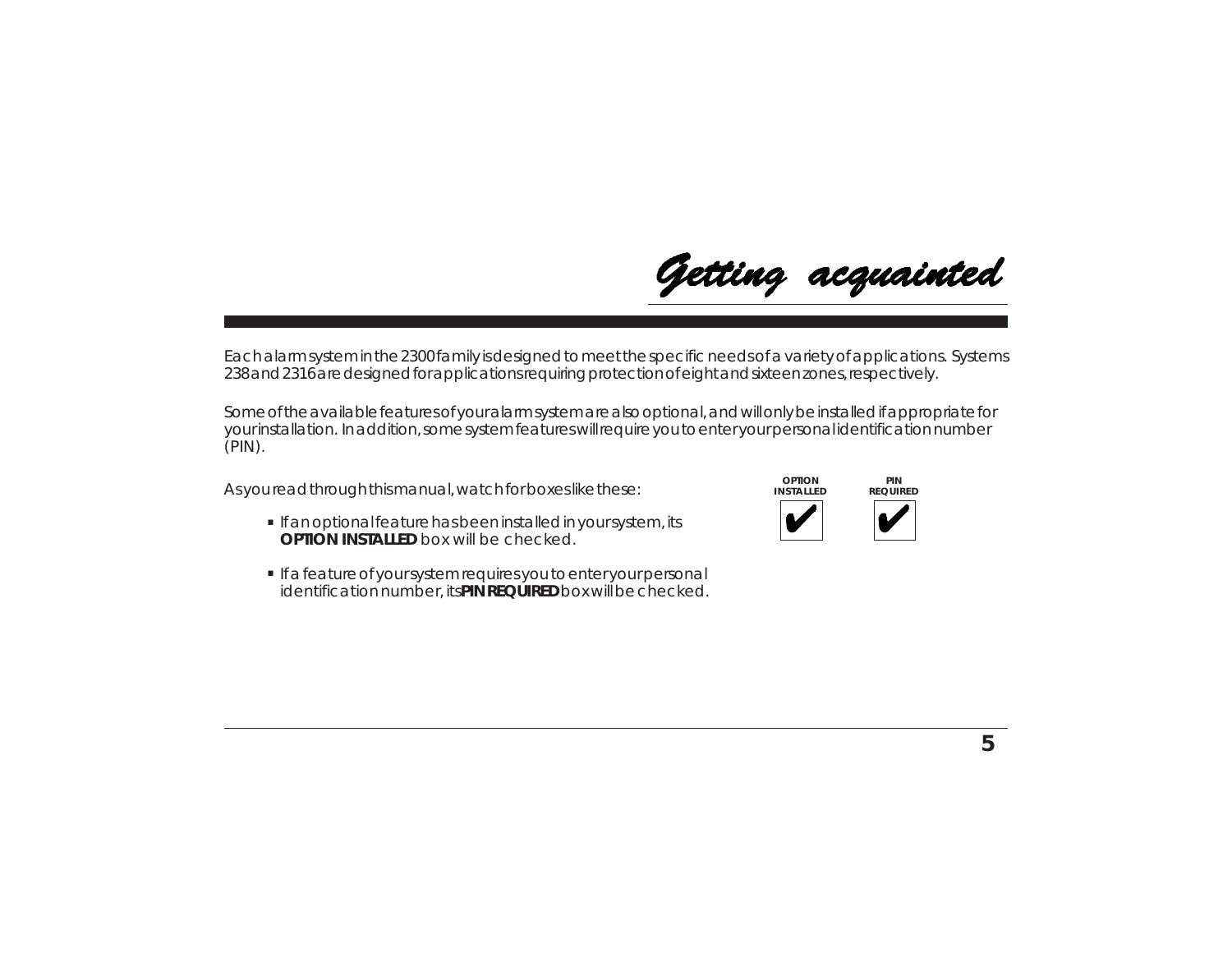Each alarm system in the 2300 family is designed to meet the specific needs of a variety of applications. Systems 238 and 2316 are designed for applications requiring protection of eight and sixteen zones, respectively.

Some of the available features of your alarm system are also optional, and will only be installed if appropriate for your installation. In addition, some system features will require you to enter your personal identification number (PIN).

As you read through this manual, watch for boxes like these:

- **•** If an optional feature has been installed in your system, its **OPTION INSTALLED** box will be checked.
- **.** If a feature of your system requires you to enter your personal identification number, its **PIN REQUIRED** box will be checked.



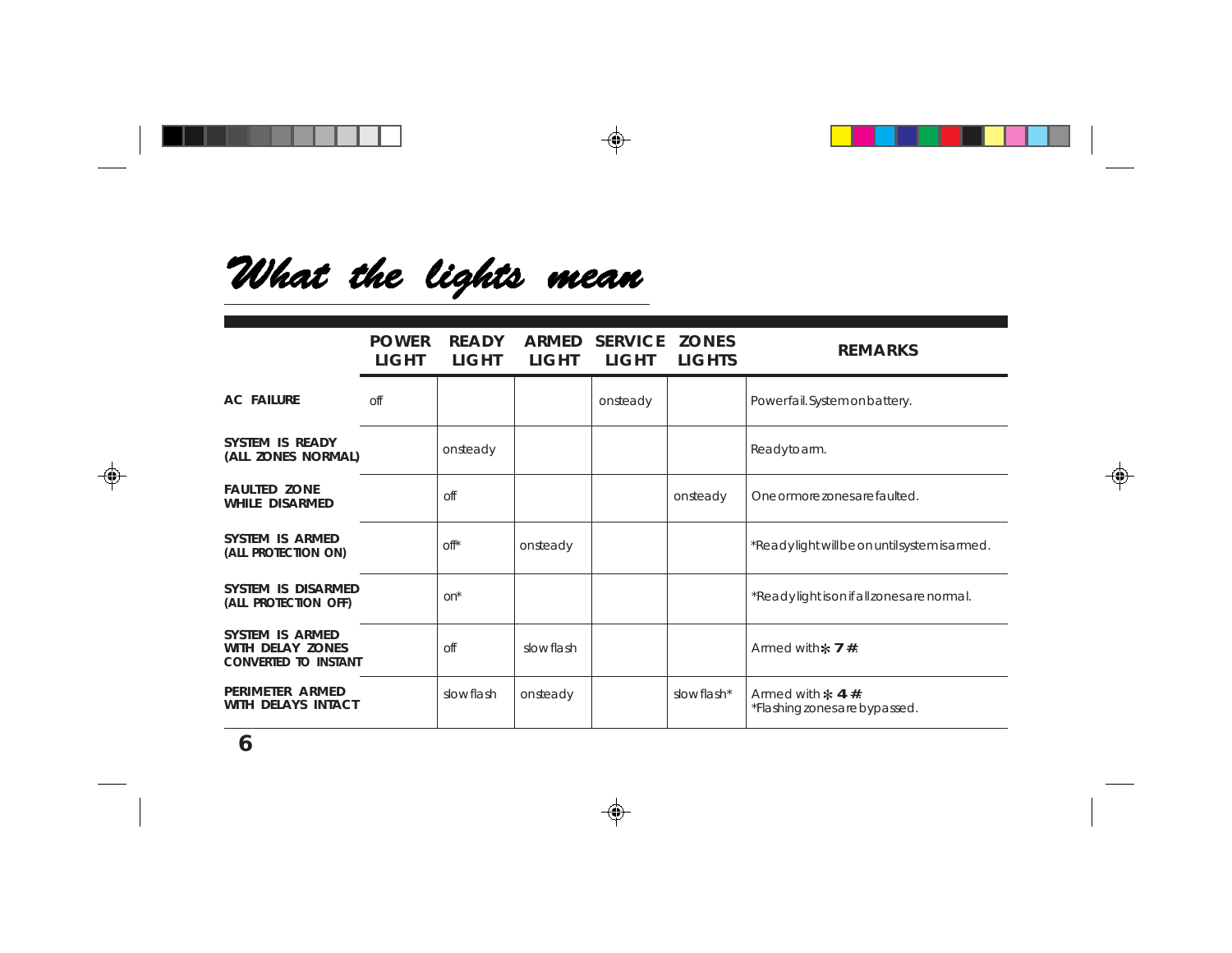# What the lights mean

|                                                                    | <b>POWER</b><br><b>LIGHT</b> | <b>READY</b><br>LIGHT  | LIGHT     | ARMED SERVICE ZONES<br>LIGHT | LIGHTS     | <b>REMARKS</b>                                             |  |
|--------------------------------------------------------------------|------------------------------|------------------------|-----------|------------------------------|------------|------------------------------------------------------------|--|
| <b>AC FAILURE</b>                                                  | off                          |                        |           | onsteady                     |            | Powerfail. System on battery.                              |  |
| <b>SYSTEM IS READY</b><br>(ALL ZONES NORMAL)                       |                              | onsteady               |           |                              |            | Readytoarm.                                                |  |
| <b>FAULTED ZONE</b><br><b>WHILE DISARMED</b>                       |                              | off                    |           |                              | onsteady   | One or more zones are faulted.                             |  |
| SYSTEM IS ARMED<br>(ALL PROTECTION ON)                             |                              | $\circ$ f <sup>*</sup> | onsteady  |                              |            | *Readylight will be on until system is armed.              |  |
| SYSTEM IS DISARMED<br>(ALL PROTECTION OFF)                         |                              | on*                    |           |                              |            | *Readylight is on if all zones are normal.                 |  |
| SYSTEM IS ARMED<br>WITH DELAY ZONES<br><b>CONVERTED TO INSTANT</b> |                              | off                    | slowflash |                              |            | Armed with $\ast$ 7 #.                                     |  |
| PERIMETER ARMED<br>WITH DELAYS INTACT                              |                              | slow flash             | onsteady  |                              | slowflash* | Armed with $\approx$ 4 #.<br>*Flashing zones are bypassed. |  |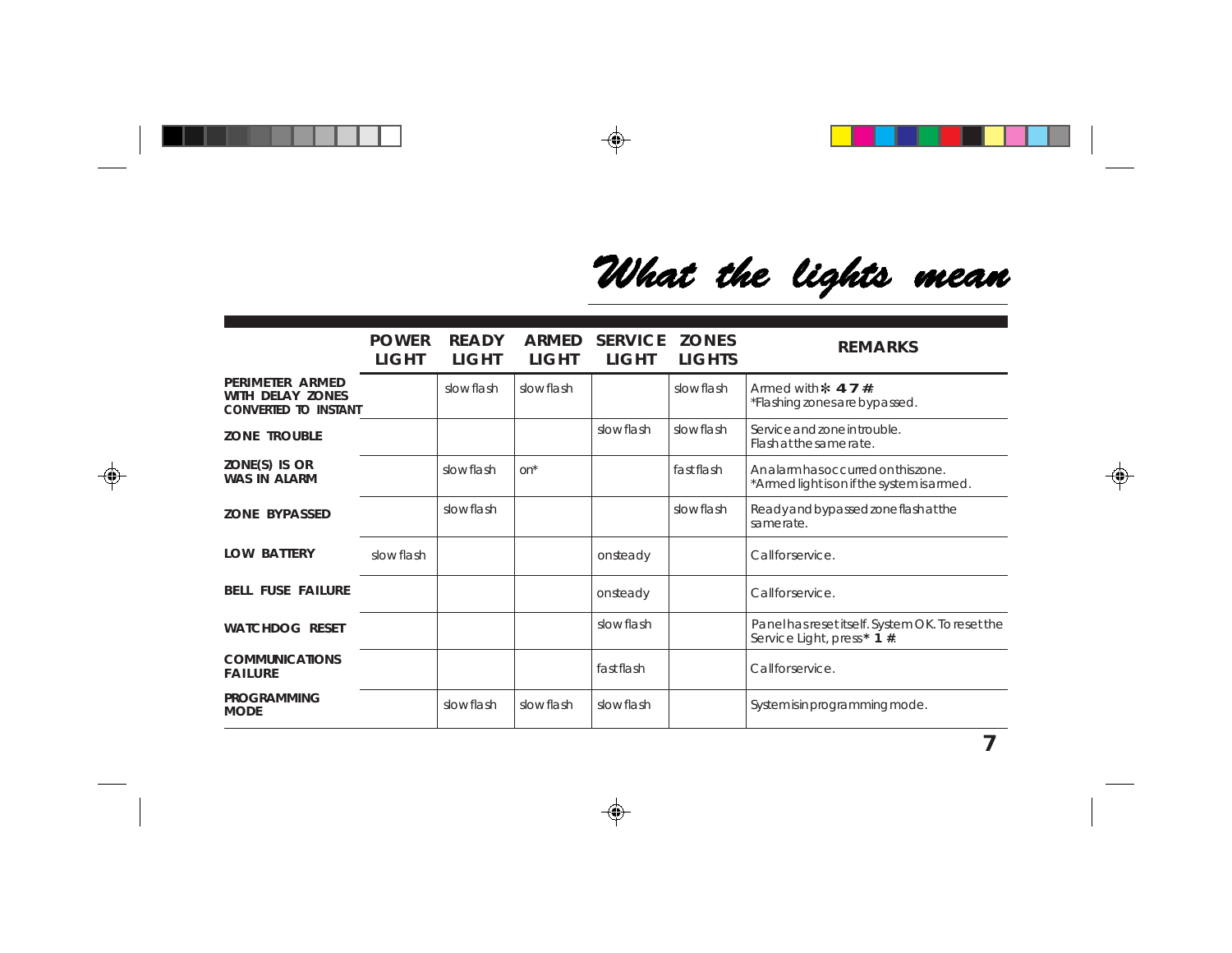What the lights mean

|                                                                           | <b>POWER</b><br><b>LIGHT</b> | <b>READY</b><br>LIGHT | <b>ARMED</b><br><b>LIGHT</b> | <b>SERVICE</b><br><b>LIGHT</b> | <b>ZONES</b><br><b>LIGHTS</b> | <b>REMARKS</b>                                                                   |  |
|---------------------------------------------------------------------------|------------------------------|-----------------------|------------------------------|--------------------------------|-------------------------------|----------------------------------------------------------------------------------|--|
| PERIMETER ARMED<br><b>WITH DELAY ZONES</b><br><b>CONVERTED TO INSTANT</b> |                              | slow flash            | slow flash                   |                                | slow flash                    | Armed with $\approx$ 4.7 #.<br>*Flashing zones are bypassed.                     |  |
| <b>ZONE TROUBLE</b>                                                       |                              |                       |                              | slow flash                     | slow flash                    | Service and zone in trouble.<br>Flash at the same rate.                          |  |
| ZONE(S) IS OR<br><b>WAS IN ALARM</b>                                      |                              | slow flash            | $on^*$                       |                                | fastflash                     | Analarm has occurred on this zone.<br>*Armed light is on if the system is armed. |  |
| <b>ZONE BYPASSED</b>                                                      |                              | slow flash            |                              |                                | slow flash                    | Ready and bypassed zone flash at the<br>samerate.                                |  |
| <b>LOW BATTERY</b>                                                        | slow flash                   |                       |                              | onsteady                       |                               | Callforservice.                                                                  |  |
| <b>BELL FUSE FAILURE</b>                                                  |                              |                       |                              | onsteady                       |                               | Callforservice.                                                                  |  |
| <b>WATCHDOG RESET</b>                                                     |                              |                       |                              | slowflash                      |                               | Panel has reset itself. System OK. To reset the<br>Service Light, press* 1 #.    |  |
| <b>COMMUNICATIONS</b><br><b>FAILURE</b>                                   |                              |                       |                              | fast flash                     |                               | Callforservice.                                                                  |  |
| <b>PROGRAMMING</b><br><b>MODE</b>                                         |                              | slowflash             | slow flash                   | slowflash                      |                               | System is in programming mode.                                                   |  |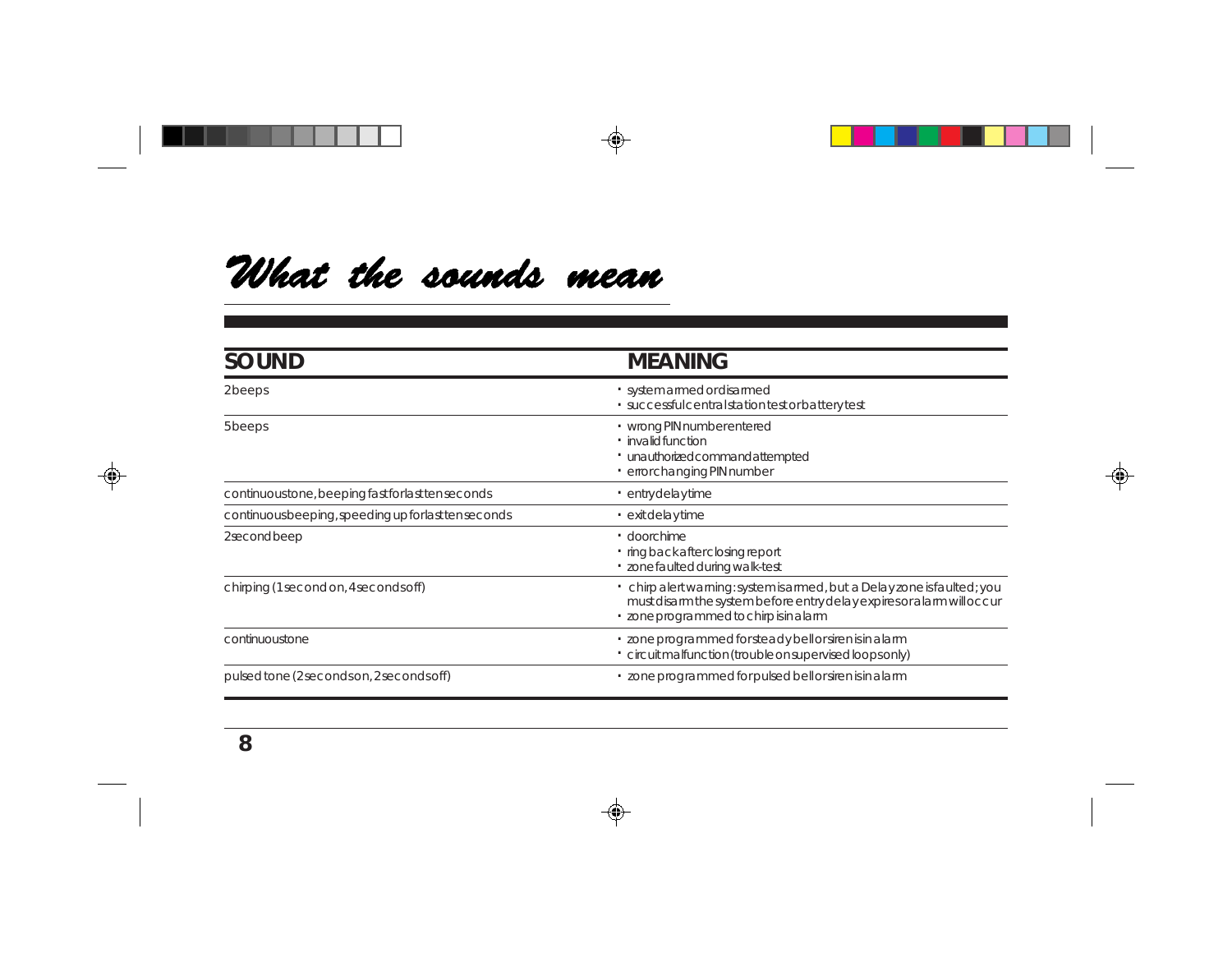## What the sounds mean

| <b>SOUND</b>                                        | <b>MEANING</b>                                                                                                                                                                              |
|-----------------------------------------------------|---------------------------------------------------------------------------------------------------------------------------------------------------------------------------------------------|
| 2beeps                                              | · system armed or disarmed<br>· successful central station test or battery test                                                                                                             |
| 5beeps                                              | · wrong PIN number entered<br>$\cdot$ invalid function<br>· unauthorizedcommandattempted<br>· errorchanging PIN number                                                                      |
| continuoustone, beeping fast for last tenseconds    | · entrydelaytime                                                                                                                                                                            |
| continuous beeping, speeding up for last tenseconds | $\cdot$ exit delay time                                                                                                                                                                     |
| 2secondbeep                                         | $\cdot$ doorchime<br>· ring back after closing report<br>· zonefaulted during walk-test                                                                                                     |
| chirping (1 second on, 4 seconds off)               | · chirp alert warning: system is armed, but a Delay zone is faulted; you<br>must disarm the system before entry delay expires or alarm will occur<br>· zone programmed to chirp is in alarm |
| continuoustone                                      | · zone programmed for steady bell or siren is in a larm<br>· circuit malfunction (trouble on supervised loops only)                                                                         |
| pulsed tone (2 seconds on, 2 seconds off)           | · zone programmed for pulsed bell or siren is in a larm                                                                                                                                     |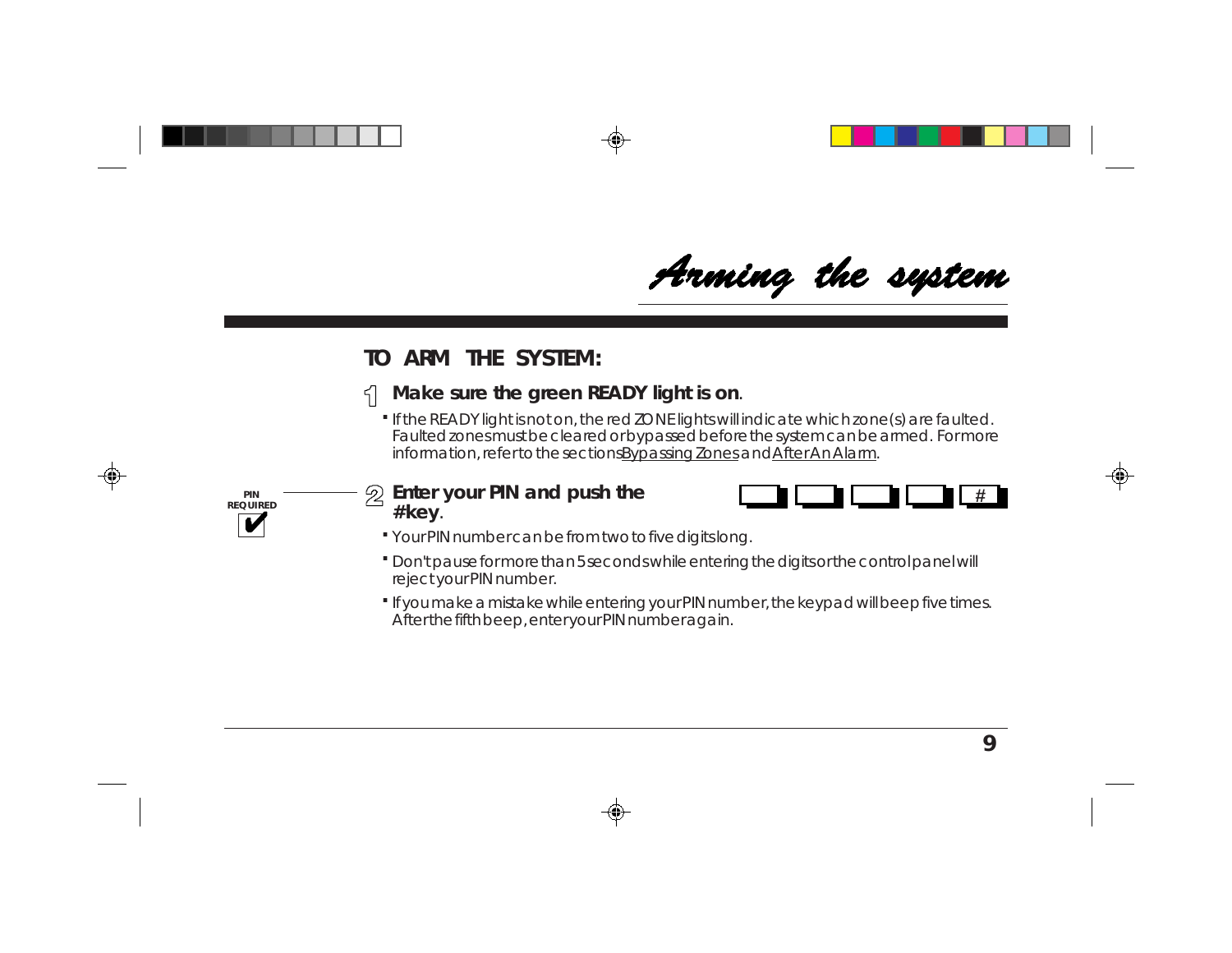Arming the system

### **TO ARM THE SYSTEM:**

### **Make sure the green READY light is on**.

If the READY light is not on, the red ZONE lights will indicate which zone(s) are faulted. **.** Faulted zones must be cleared or bypassed before the system can be armed. For more information, refer to the sections Bypassing Zones and After An Alarm.



#### **Enter your PIN and push the # key**.



- Your PIN number can be from two to five digits long. **.**
- Don't pause for more than 5 seconds while entering the digits or the control panel will **.** reject your PIN number.
- If you make a mistake while entering your PIN number, the keypad will beep five times. **.** After the fifth beep, enter your PIN number again.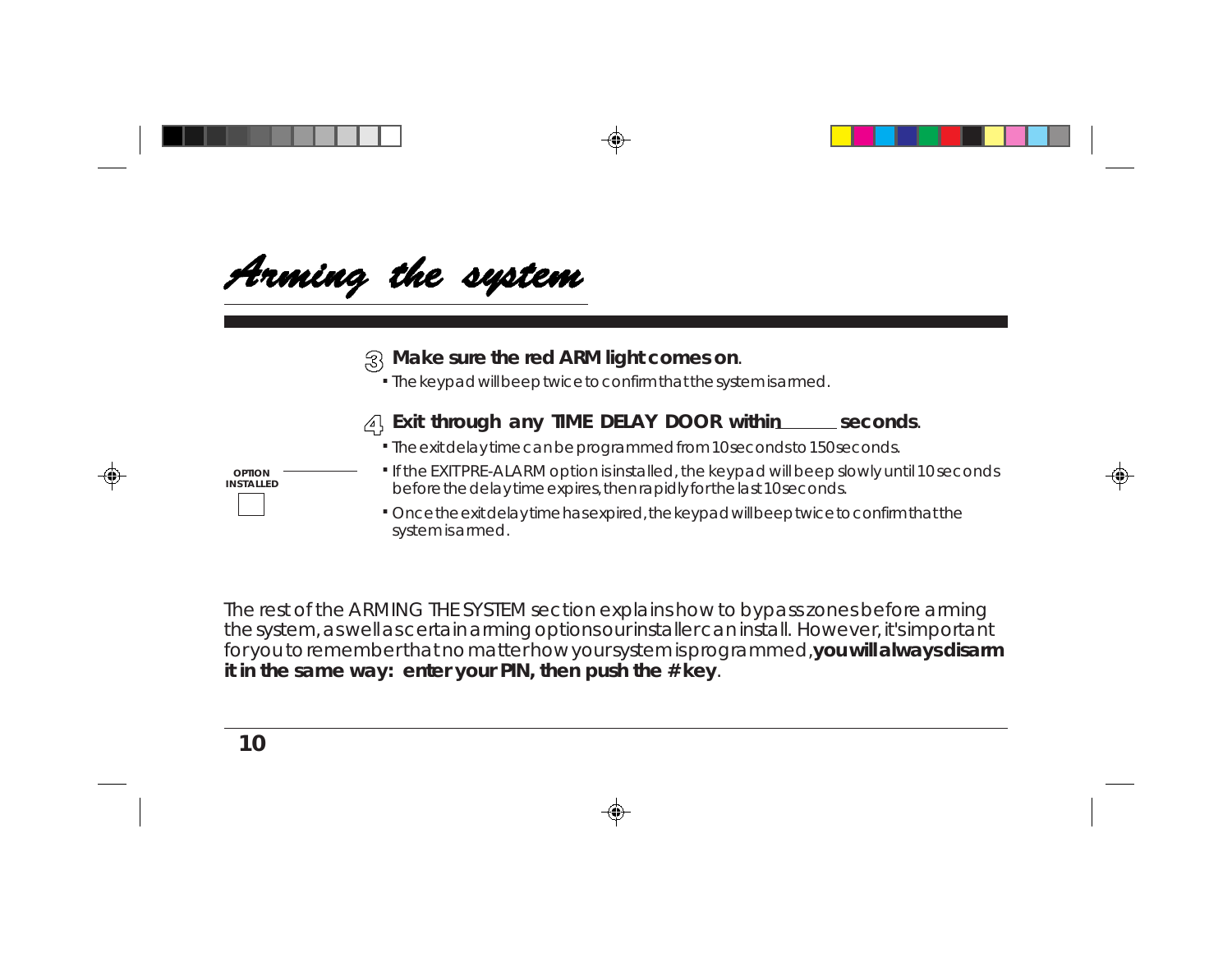Arming the system

#### **Make sure the red ARM light comes on**.

The keypad will beep twice to confirm that the system is armed. **.**



- The exit delay time can be programmed from 10 seconds to 150 seconds. **.**
- If the EXIT PRE-ALARM option is installed, the keypad will beep slowly until 10 seconds before the delay time expires, then rapidly for the last 10 seconds.
- **.** Once the exit delay time has expired, the keypad will beep twice to confirm that the system is armed.

The rest of the ARMING THE SYSTEM section explains how to bypass zones before arming the system, as well as certain arming options our installer can install. However, it's important for you to remember that no matter how your system is programmed, **you will always disarm it in the same way: enter your PIN, then push the # key**.

#### **. OPTION INSTALLED**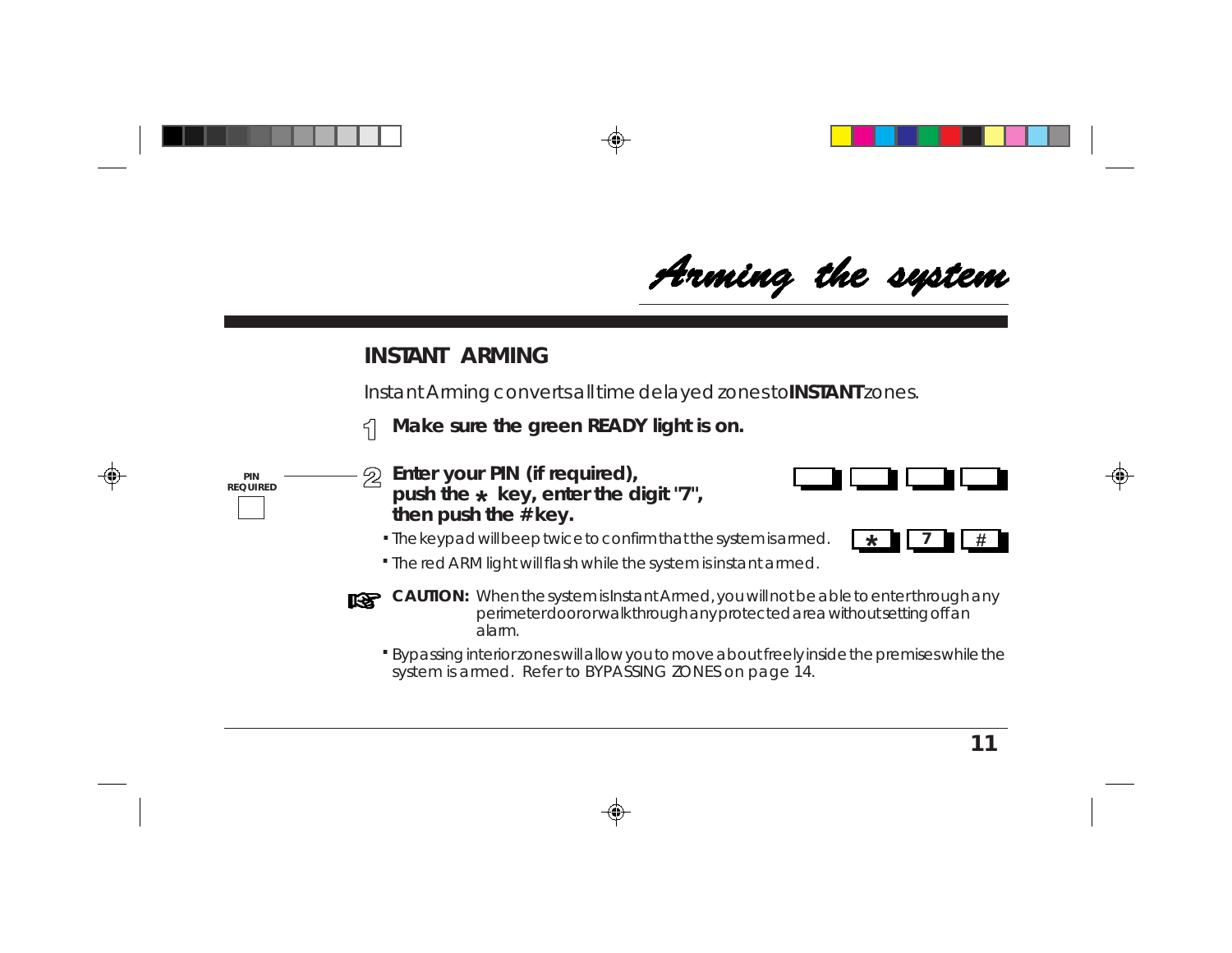**#**

### **INSTANT ARMING**

Instant Arming converts all time delayed zones to **INSTANT** zones.

**Make sure the green READY light is on.** 5

push the  $\star$  key, enter the digit "7",

**Enter your PIN (if required),**

**then push the # key.**

- **PIN REQUIRED**
- The red ARM light will flash while the system is instant armed. **.**

The keypad will beep twice to confirm that the system is armed. **\*.**

- **CAUTION:** When the system is Instant Armed, you will not be able to enter through any rs i perimeter door or walk through any protected area without setting off an alarm.
	- Bypassing interior zones will allow you to move about freely inside the premises while the **.** system is armed. Refer to BYPASSING ZONES on page 14.



**7**

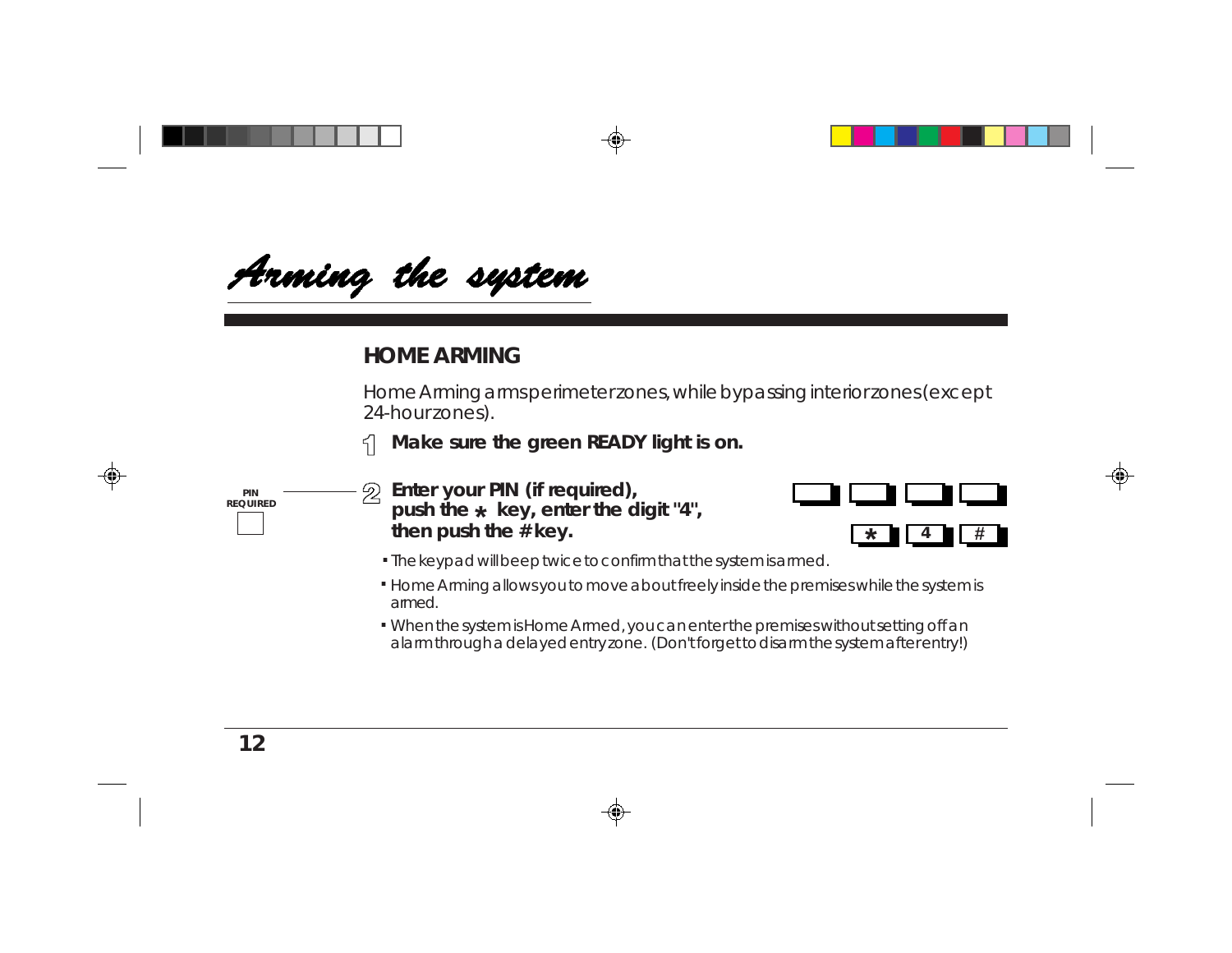Arming the system

### **HOME ARMING**

Home Arming arms perimeter zones, while bypassing interior zones (except 24-hour zones).

**Make sure the green READY light is on.** 5



 $\mathfrak{D}$ **Enter your PIN (if required),** push the  $\star$  key, enter the digit "4", **then push the # key.**



- **.** The keypad will beep twice to confirm that the system is armed.
- Home Arming allows you to move about freely inside the premises while the system is **.** armed.
- When the system is Home Armed, you can enter the premises without setting off an **.**alarm through a delayed entry zone. (Don't forget to disarm the system after entry!)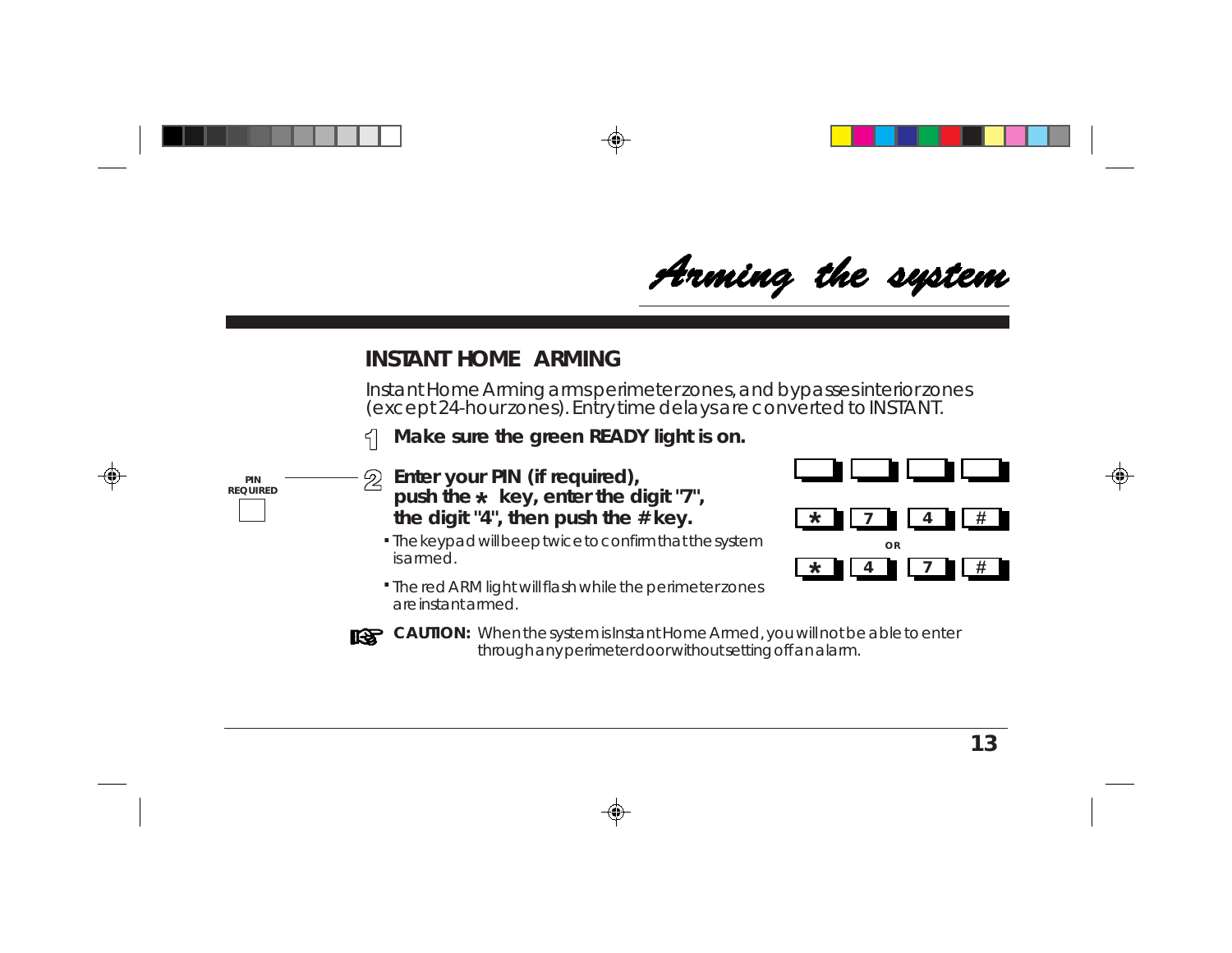Arming the system

### **INSTANT HOME ARMING**

Instant Home Arming arms perimeter zones, and bypasses interior zones (except 24-hour zones). Entry time delays are converted to INSTANT.

**Make sure the green READY light is on.**  $\leq$ 



- **Enter your PIN (if required),** 2 push the  $\star\,$  key, enter the digit "7", **the digit "4", then push the # key.**
	- **.** The keypad will beep twice to confirm that the system is armed.





**CAUTION:** When the system is Instant Home Armed, you will not be able to enter through any perimeter door without setting off an alarm.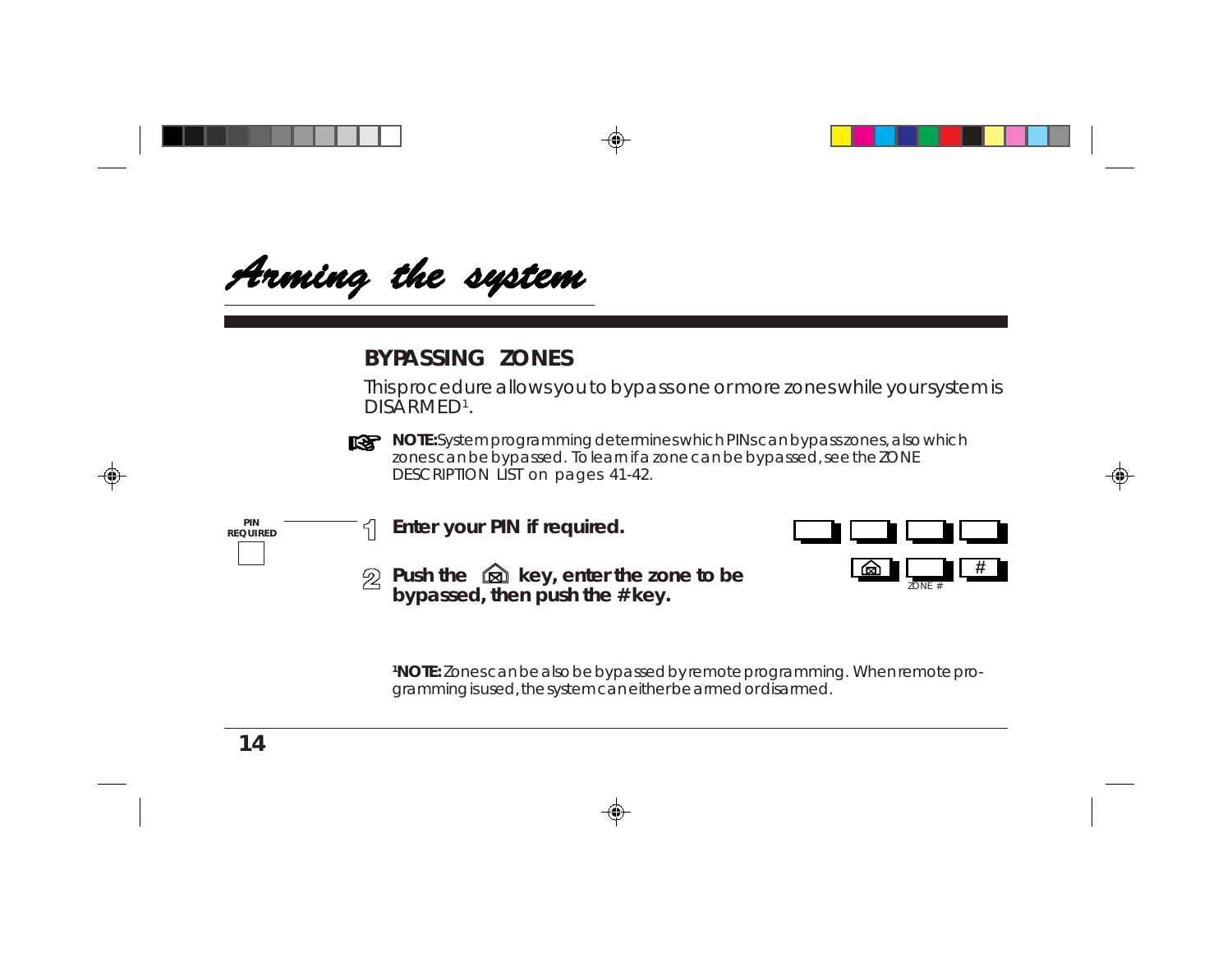Arming the system

### **BYPASSING ZONES**

This procedure allows you to bypass one or more zones while your system is DISARMED1.



**NOTE:** System programming determines which PINs can bypass zones, also which zones can be bypassed. To learn if a zone can be bypassed, see the ZONE DESCRIPTION LIST on pages 41-42.





ZONE #

**Push the <b>Q** key, enter the zone to be **bypassed, then push the # key.**

**1NOTE:** Zones can be also be bypassed by remote programming. When remote programming is used, the system can either be armed or disarmed.

**PIN REQUIRED**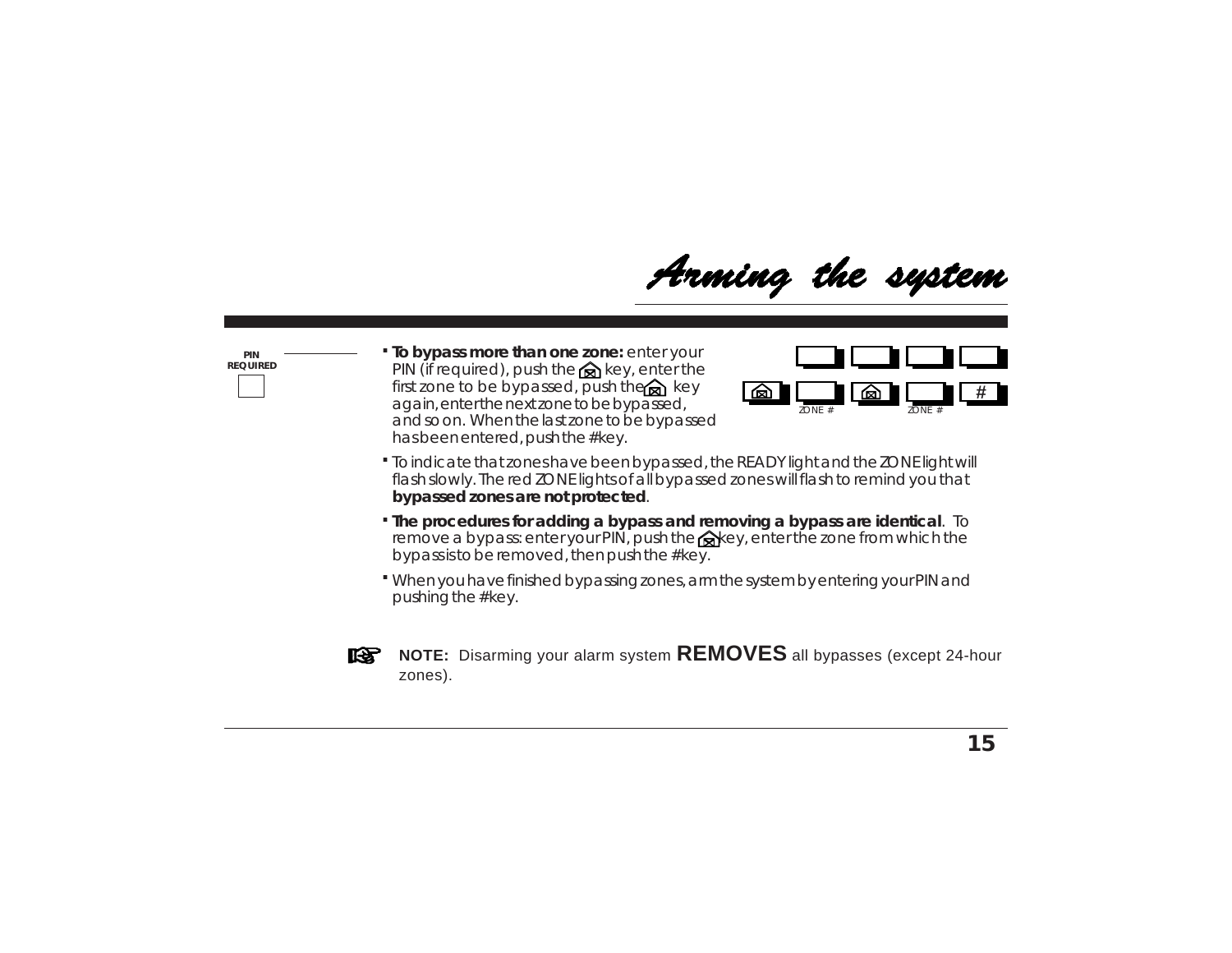Arming the system

**PIN REQUIRED** **. To bypass more than one zone:** enter your PIN (if required), push the  $\otimes$  key, enter the first zone to be bypassed, push the  $\bigotimes$  key again, enter the next zone to be bypassed, and so on. When the last zone to be bypassed has been entered, push the # key.



- To indicate that zones have been bypassed, the READY light and the ZONE light will **.** flash slowly. The red ZONE lights of all bypassed zones will flash to remind you that **bypassed zones are not protected**.
- **. The procedures for adding a bypass and removing a bypass are identical**. To remove a bypass: enter your PIN, push the  $\otimes$  key, enter the zone from which the bypass is to be removed, then push the # key.
- When you have finished bypassing zones, arm the system by entering your PIN and **.** pushing the # key.



**NOTE:** Disarming your alarm system **REMOVES** all bypasses (except 24-hour zones).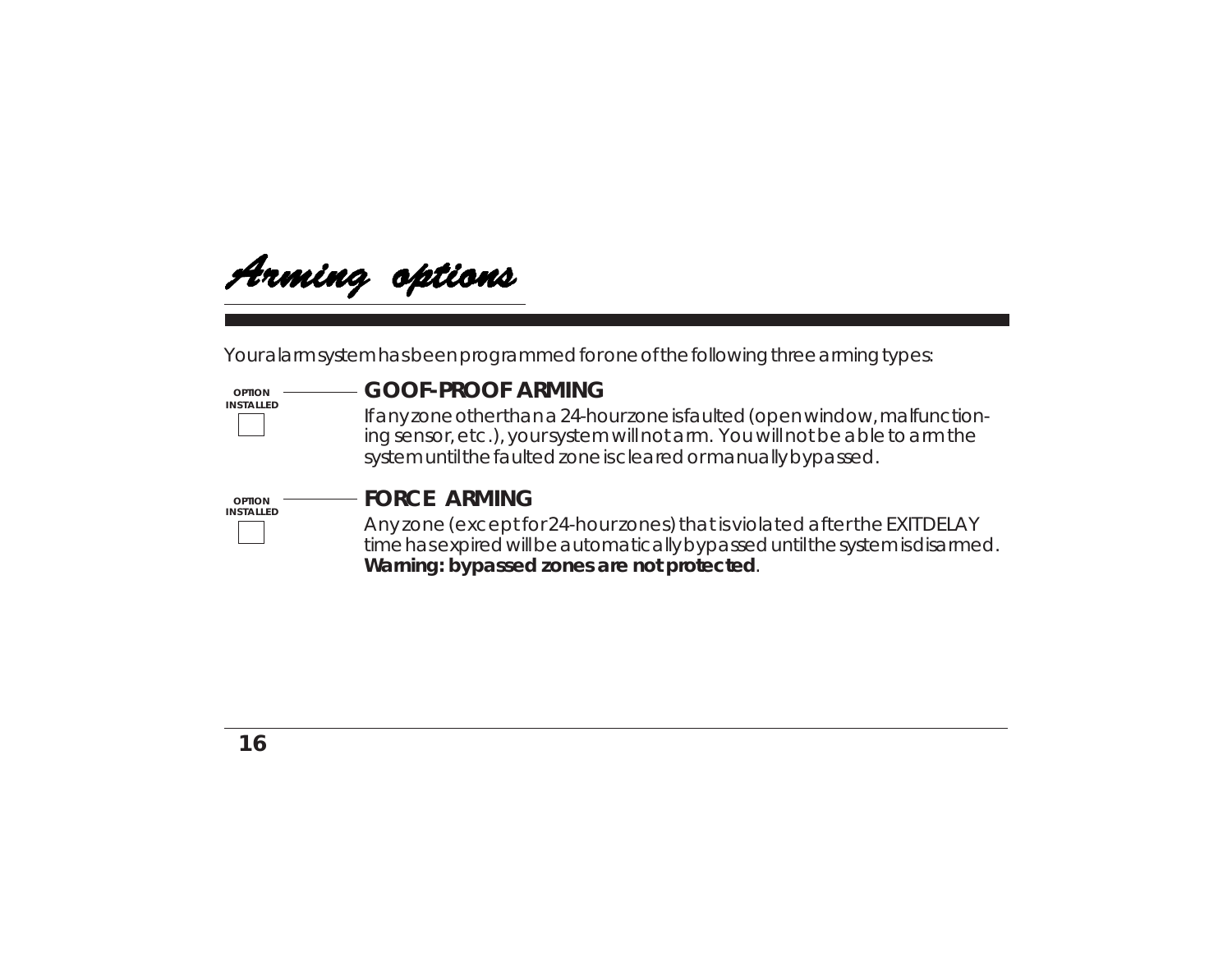

Your alarm system has been programmed for one of the following three arming types:

#### **OPTION INSTALLED**

#### **GOOF-PROOF ARMING**

If any zone other than a 24-hour zone is faulted (open window, malfunctioning sensor, etc.), your system will not arm. You will not be able to arm the system until the faulted zone is cleared or manually bypassed.



#### **FORCE ARMING**

Any zone (except for 24-hour zones) that is violated after the EXIT DELAY time has expired will be automatically bypassed until the system is disarmed. **Warning: bypassed zones are not protected**.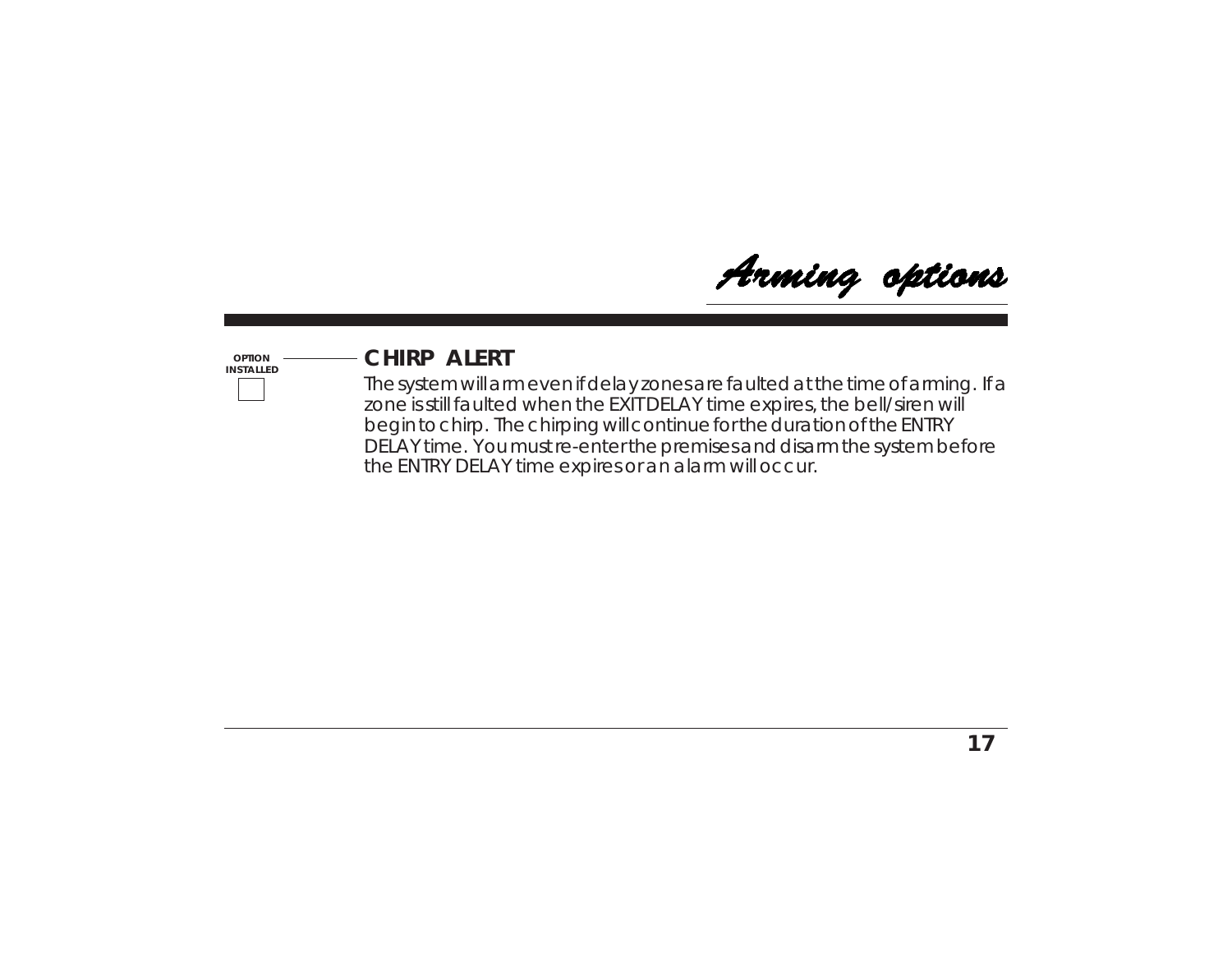Arming options

#### **OPTION INSTALLED**

### **CHIRP ALERT**

The system will arm even if delay zones are faulted at the time of arming. If a zone is still faulted when the EXIT DELAY time expires, the bell/siren will begin to chirp. The chirping will continue for the duration of the ENTRY DELAY time. You must re-enter the premises and disarm the system before the ENTRY DELAY time expires or an alarm will occur.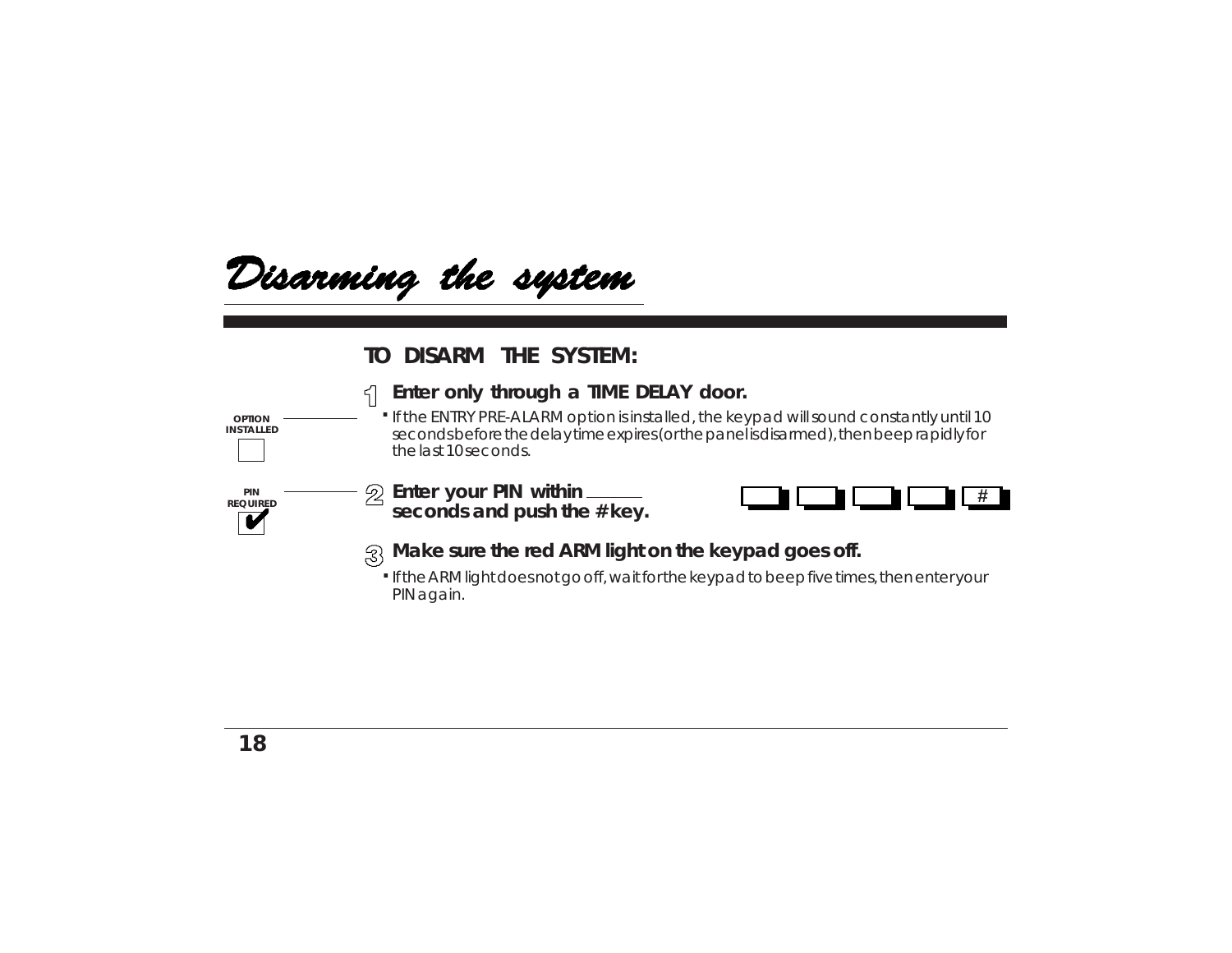

#### **TO DISARM THE SYSTEM:**

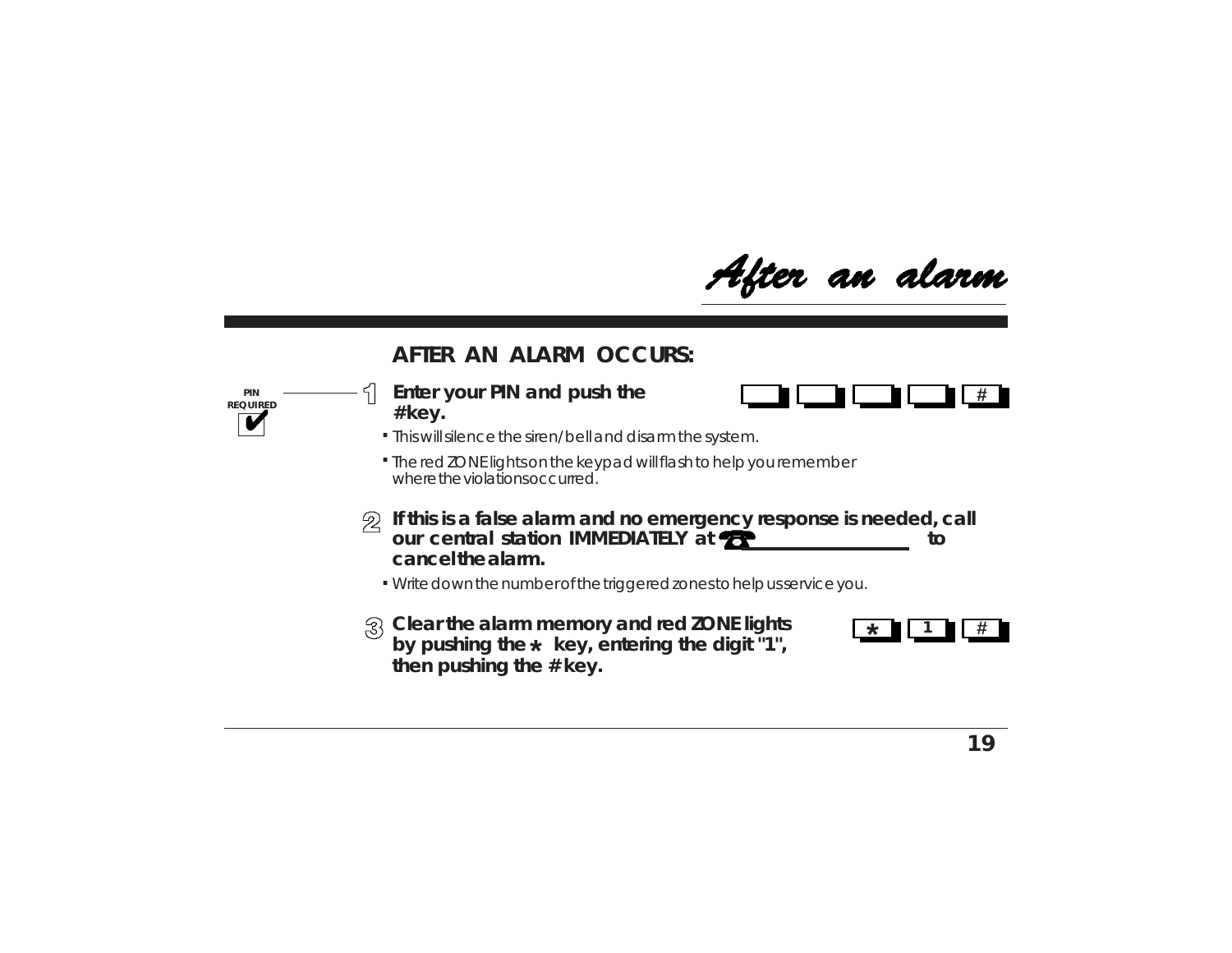After an alarm

#### **AFTER AN ALARM OCCURS:**

**Enter your PIN and push the # key.**

**PIN REQUIRED**



- This will silence the siren/bell and disarm the system. **.**
- The red ZONE lights on the keypad will flash to help you remember **.** where the violations occurred.
- $\mathcal{D}$  If this is a false alarm and no emergency response is needed, call **our central station IMMEDIATELY at <b><sup>th</sup> cancel the alarm.**
	- Write down the number of the triggered zones to help us service you. **.**
- **Clear the alarm memory and red ZONE lights** by pushing the  $\star\,$  key, entering the digit "1", **then pushing the # key.**

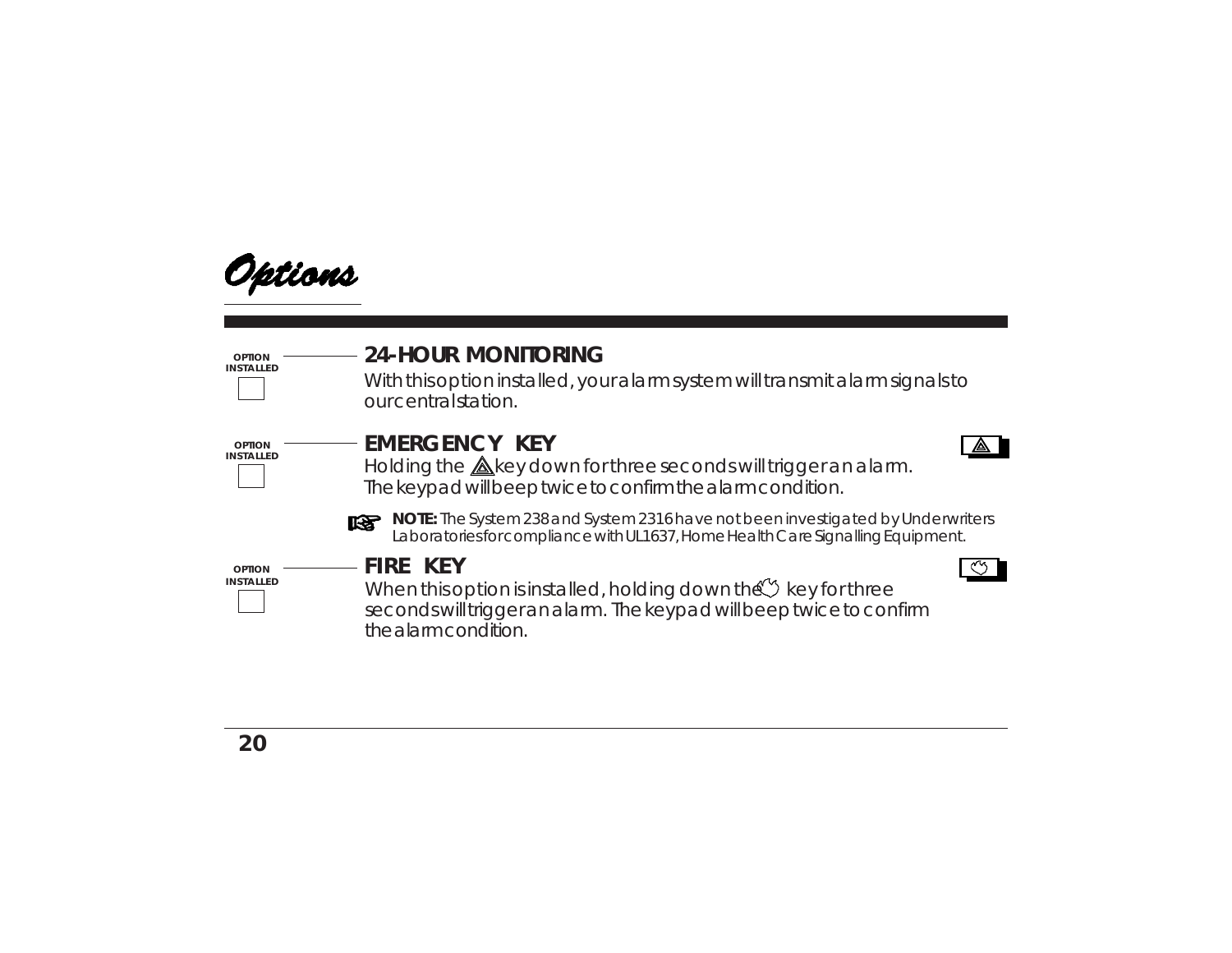

With this option installed, your alarm system will transmit alarm signals to our central station.



**OPTION INSTALLED**

**OPTION INSTALLED**

### **EMERGENCY KEY**

Holding the  $\triangle$ key down for three seconds will trigger an alarm. The keypad will beep twice to confirm the alarm condition.





**NOTE:** The System 238 and System 2316 have not been investigated by Underwriters Laboratories for compliance with UL1637, Home Health Care Signalling Equipment.

**FIRE KEY**

When this option is installed, holding down the  $\mathbb{C}^{\prime\prime}$  key for three seconds will trigger an alarm. The keypad will beep twice to confirm the alarm condition.

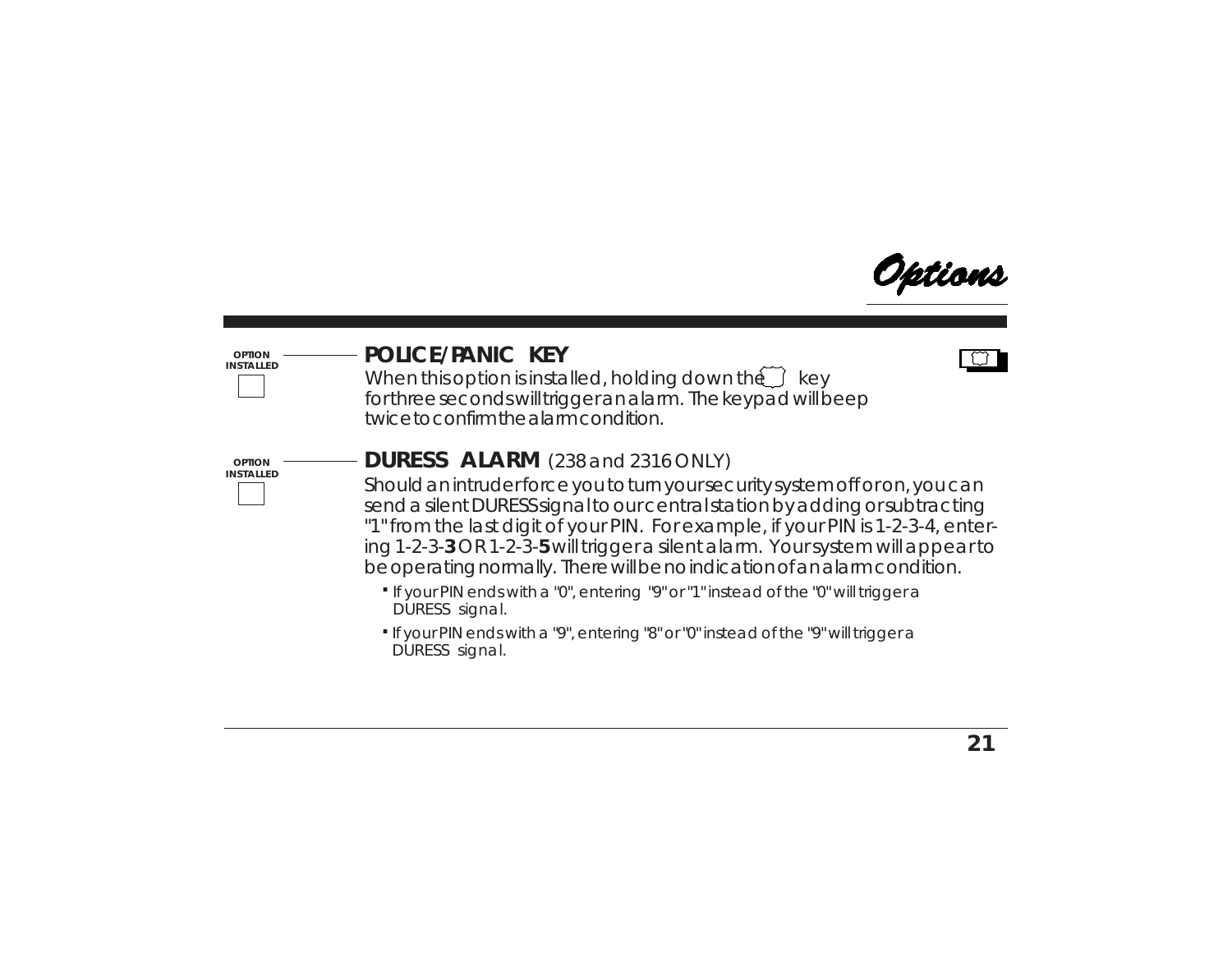

#### **POLICE/PANIC KEY**



When this option is installed, holding down the  $\widetilde{\hspace{0.1cm}}$  key for three seconds will trigger an alarm. The keypad will beep twice to confirm the alarm condition.



**OPTION INSTALLED**

#### **DURESS ALARM** (238 and 2316 ONLY)

Should an intruder force you to turn your security system off or on, you can send a silent DURESS signal to our central station by adding or subtracting "1" from the last digit of your PIN. For example, if your PIN is 1-2-3-4, entering 1-2-3-**3** OR 1-2-3-**5** will trigger a silent alarm. Your system will appear to be operating normally. There will be no indication of an alarm condition.

- If your PIN ends with a "0", entering "9" or "1" instead of the "0" will trigger a **.** DURESS signal.
- If your PIN ends with a "9", entering "8" or "0" instead of the "9" will trigger a **.** DURESS signal.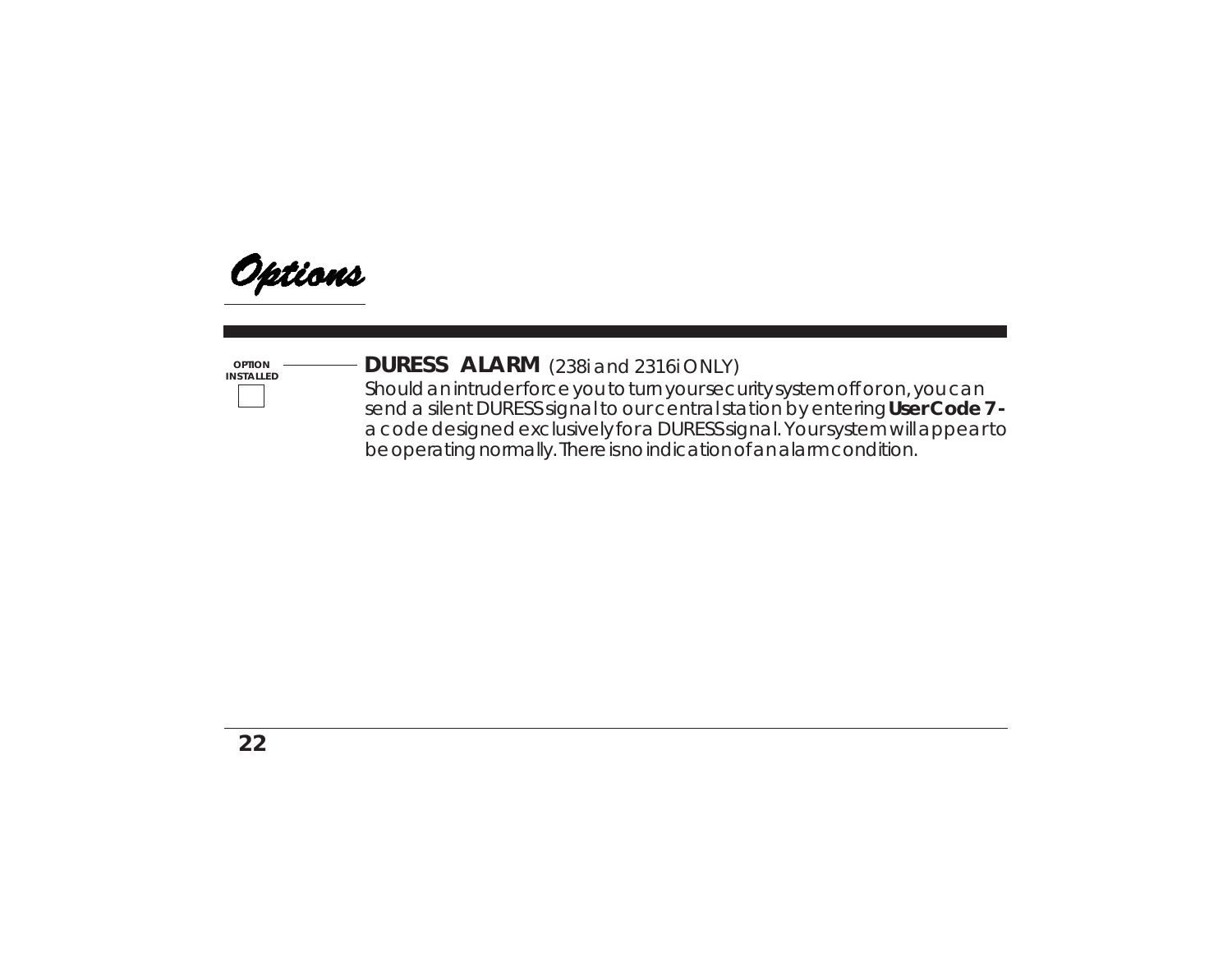

**OPTION**

### **DETION** ———————————**DURESS ALARM** (238i and 2316i ONLY)

Should an intruder force you to turn your security system off or on, you can send a silent DURESS signal to our central station by entering **User Code 7**  a code designed exclusively for a DURESS signal. Your system will appear to be operating normally. There is no indication of an alarm condition.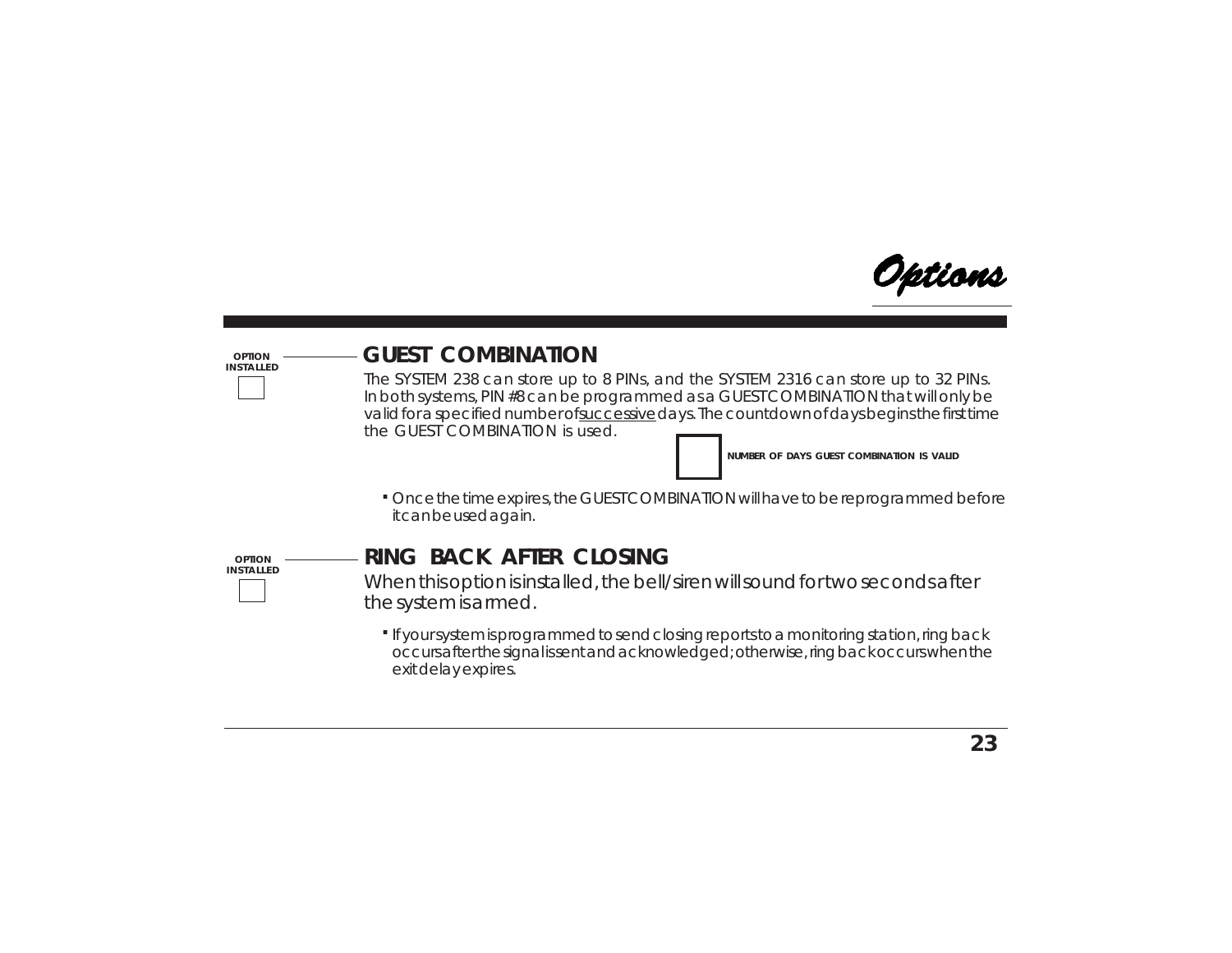

#### **OPTION INSTALLED**

### **GUEST COMBINATION**

The SYSTEM 238 can store up to 8 PINs, and the SYSTEM 2316 can store up to 32 PINs. In both systems, PIN #8 can be programmed as a GUEST COMBINATION that will only be valid for a specified number of successive days. The countdown of days begins the first time the GUEST COMBINATION is used.

**NUMBER OF DAYS GUEST COMBINATION IS VALID**

Once the time expires, the GUEST COMBINATION will have to be reprogrammed before **.** it can be used again.



### **RING BACK AFTER CLOSING**

When this option is installed, the bell/siren will sound for two seconds after the system is armed.

If your system is programmed to send closing reports to a monitoring station, ring back **.**occurs after the signal is sent and acknowledged; otherwise, ring back occurs when the exit delay expires.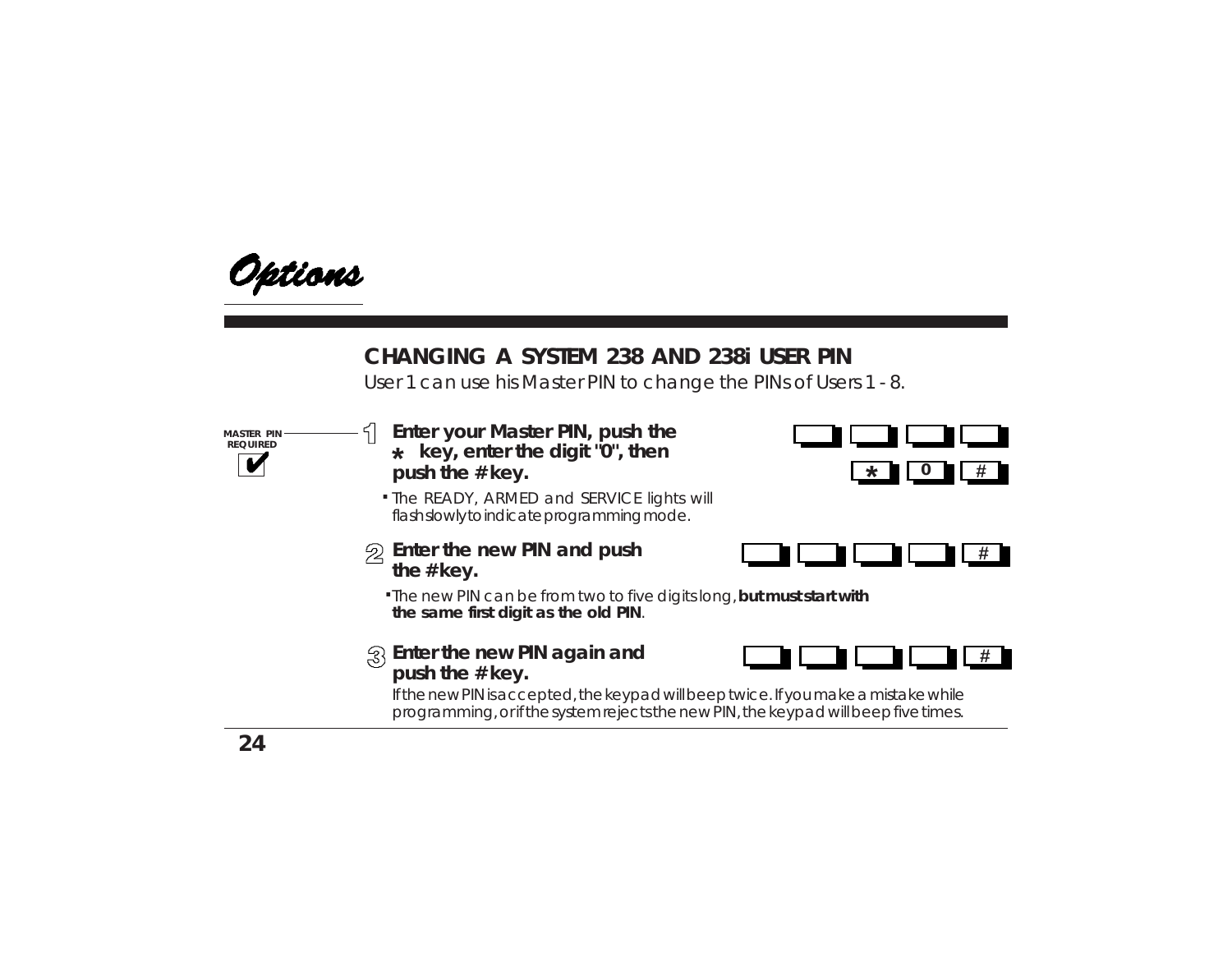

### **CHANGING A SYSTEM 238 AND 238i USER PIN**

User 1 can use his Master PIN to change the PINs of Users 1 - 8.

**MASTER PIN REQUIRED**

- **\* key, enter the digit "0", then push the # key.Enter your Master PIN, push the**
- **.** The READY, ARMED and SERVICE lights will flash slowly to indicate programming mode.
- **Enter the new PIN and push the # key.**





**.** The new PIN can be from two to five digits long, **but must start with the same first digit as the old PIN**.

#### **Enter the new PIN again and push the # key.**



If the new PIN is accepted, the keypad will beep twice. If you make a mistake while programming, or if the system rejects the new PIN, the keypad will beep five times.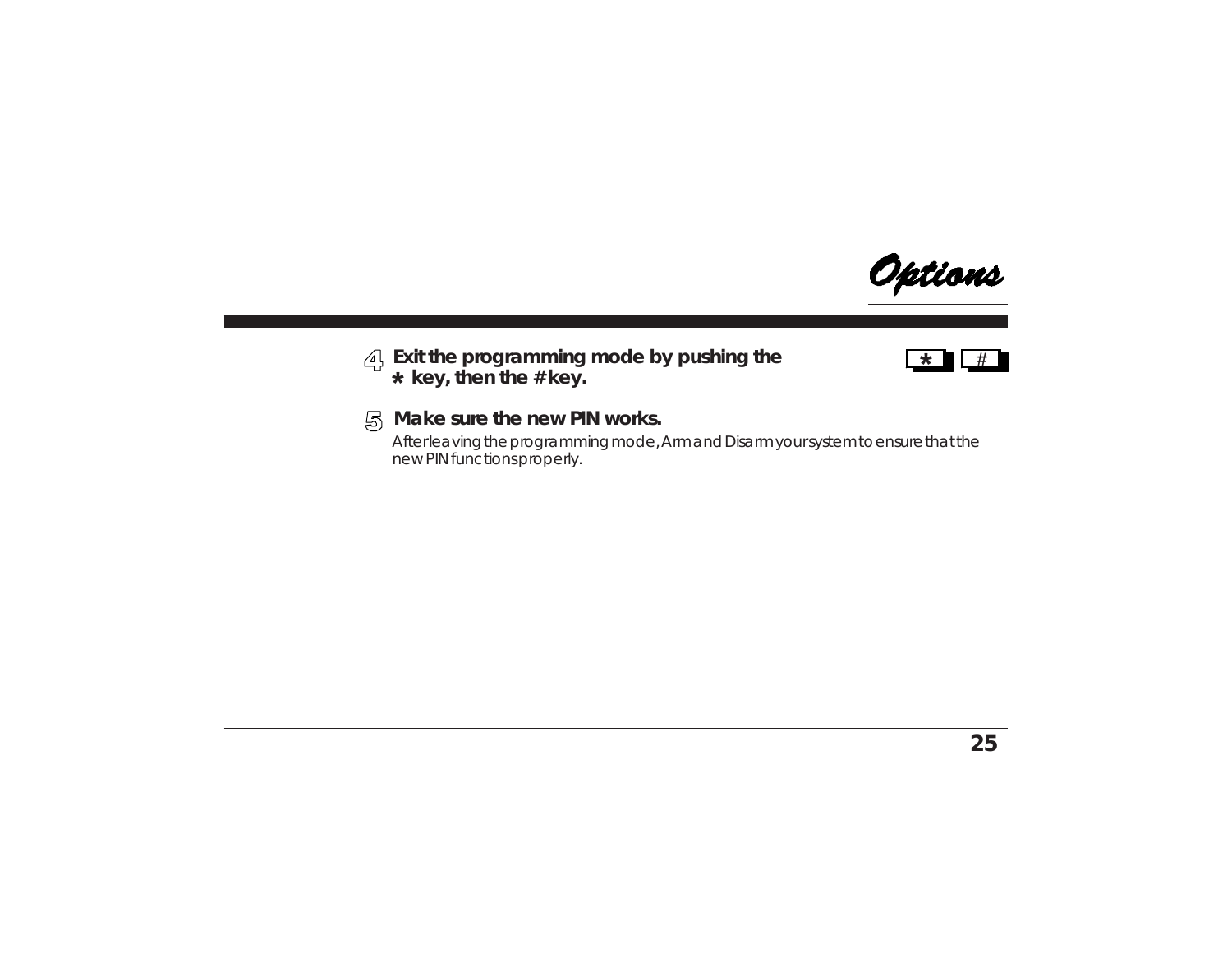

#### **Exit the programming mode by pushing the key, then the # key. \***



#### **Make sure the new PIN works.**

After leaving the programming mode, Arm and Disarm your system to ensure that the new PIN functions properly.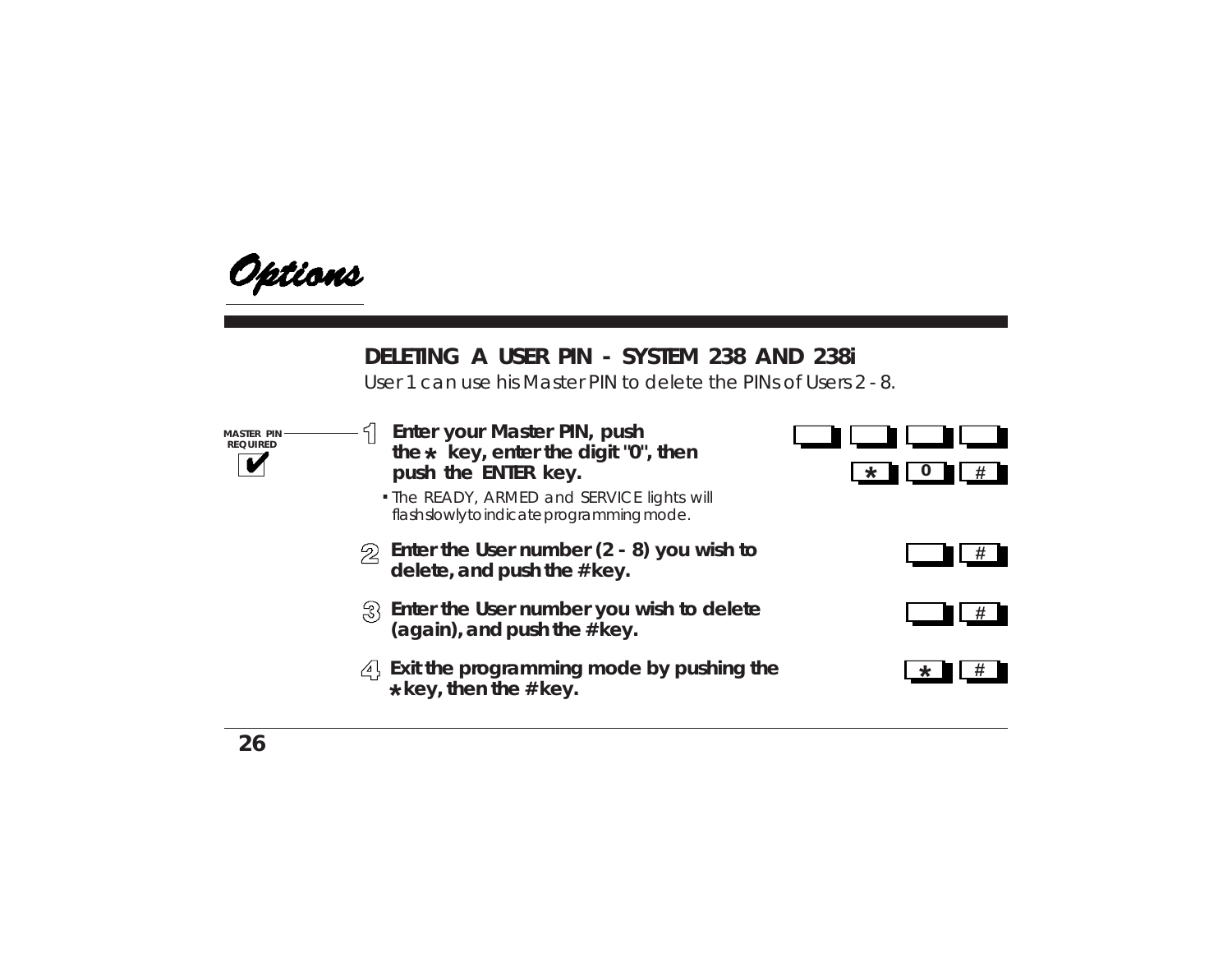

### **DELETING A USER PIN - SYSTEM 238 AND 238i**

User 1 can use his Master PIN to delete the PINs of Users 2 - 8.

**MASTER PIN REQUIRED**

- **Enter your Master PIN, push the key, enter the digit "0", then \*push the ENTER key.**
- The READY, ARMED and SERVICE lights will **.** flash slowly to indicate programming mode.
- **Enter the User number (2 8) you wish to delete, and push the # key.**
- **Enter the User number you wish to delete (again), and push the # key.**
- **Exit the programming mode by pushing the key, then the # key. \***





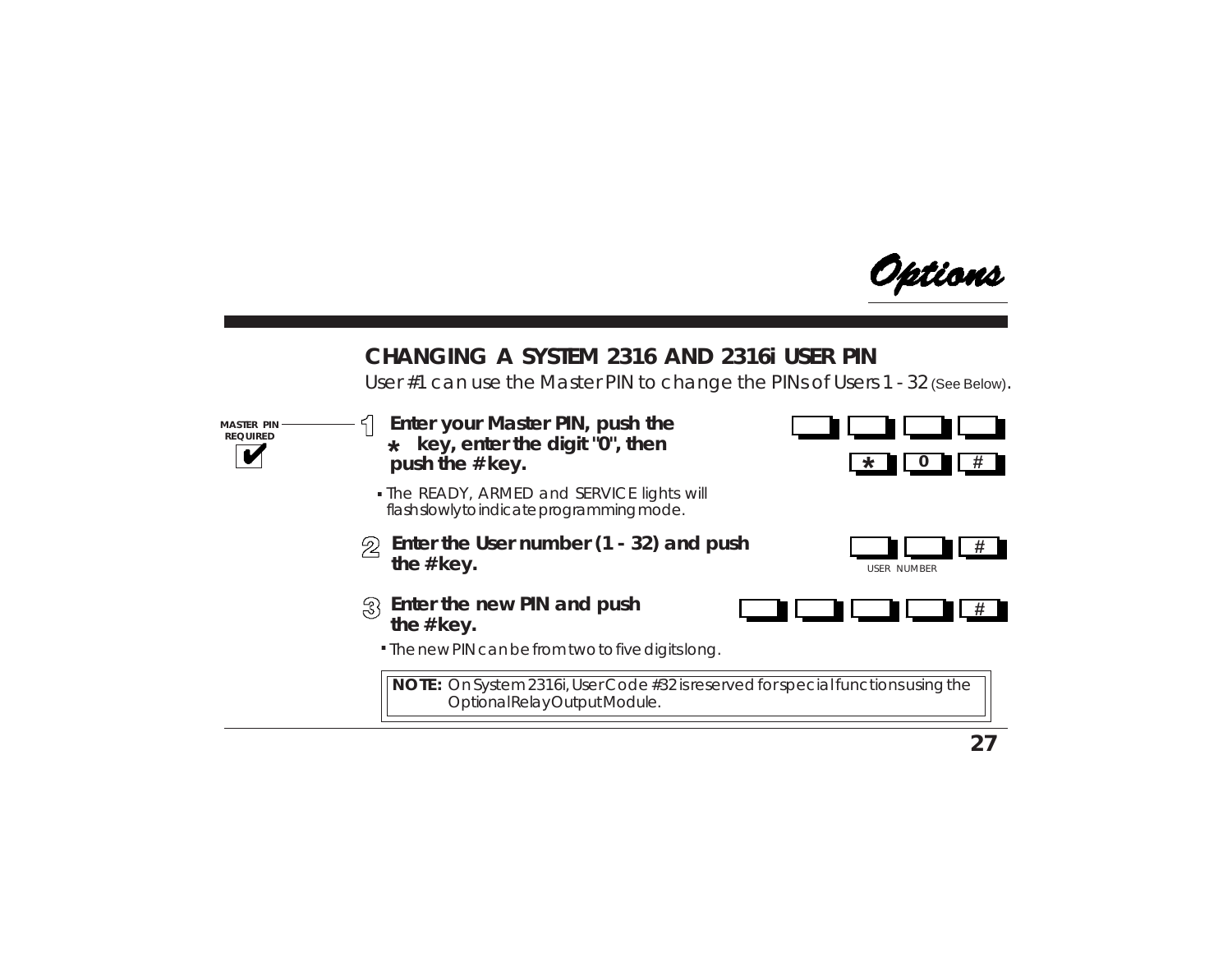

### **CHANGING A SYSTEM 2316 AND 2316i USER PIN**

User #1 can use the Master PIN to change the PINs of Users 1 - 32 (See Below).

**MASTER PIN REQUIRED**

- **Enter your Master PIN, push the key, enter the digit "0", then \*push the # key.**  $\qquad \qquad \frac{\ast}{\ast}$
- The READY, ARMED and SERVICE lights will **.** flash slowly to indicate programming mode.
- **Enter the User number (1 32) and push the # key.**





- **Enter the new PIN and push the # key.**
	- The new PIN can be from two to five digits long. **.**

**NOTE:** On System 2316i, User Code #32 is reserved for special functions using the Optional Relay Output Module.

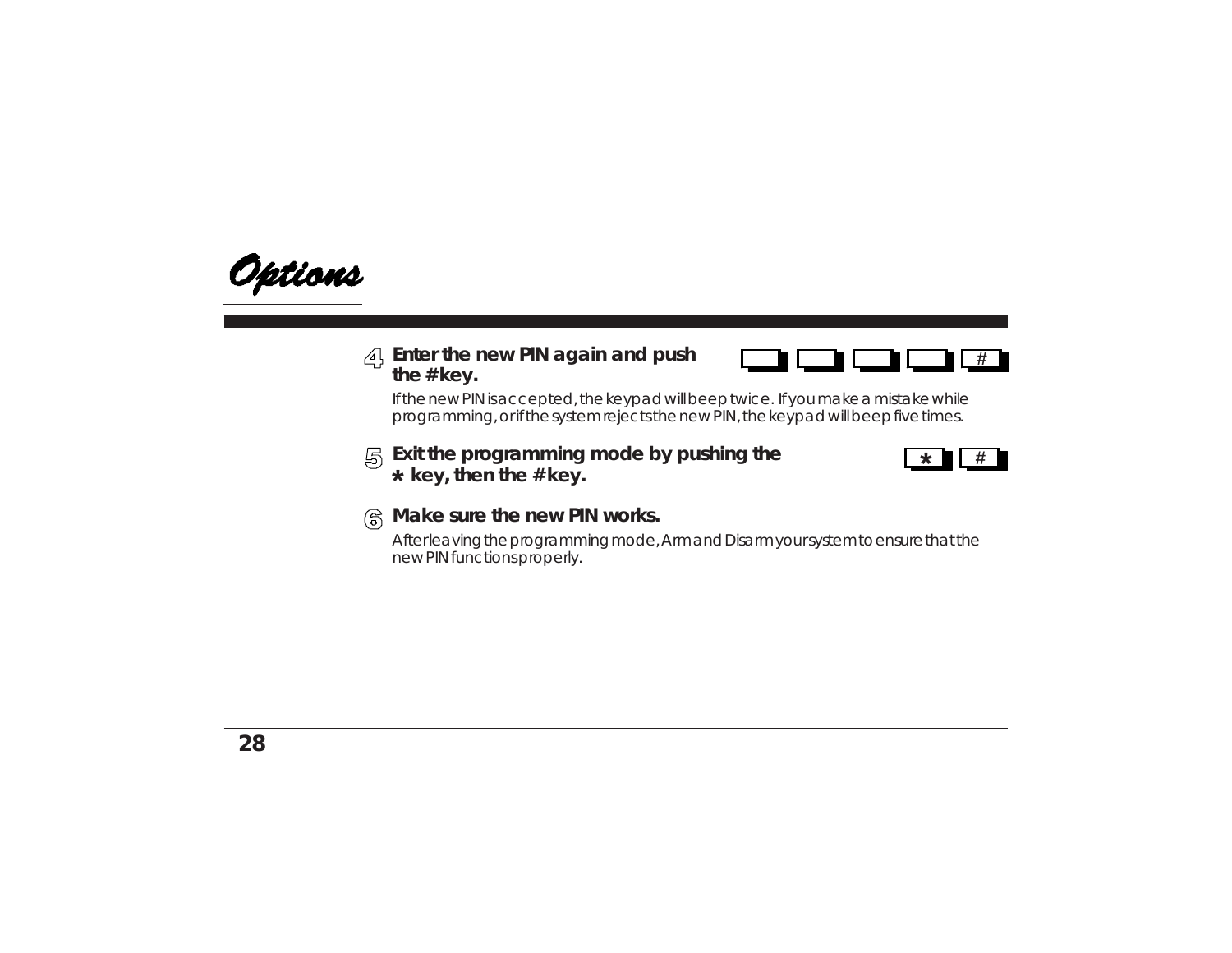

#### **Enter the new PIN again and push the # key.**



If the new PIN is accepted, the keypad will beep twice. If you make a mistake while programming, or if the system rejects the new PIN, the keypad will beep five times.

#### **Exit the programming mode by pushing the key, then the # key. \***



#### **Make sure the new PIN works.**

After leaving the programming mode, Arm and Disarm your system to ensure that the new PIN functions properly.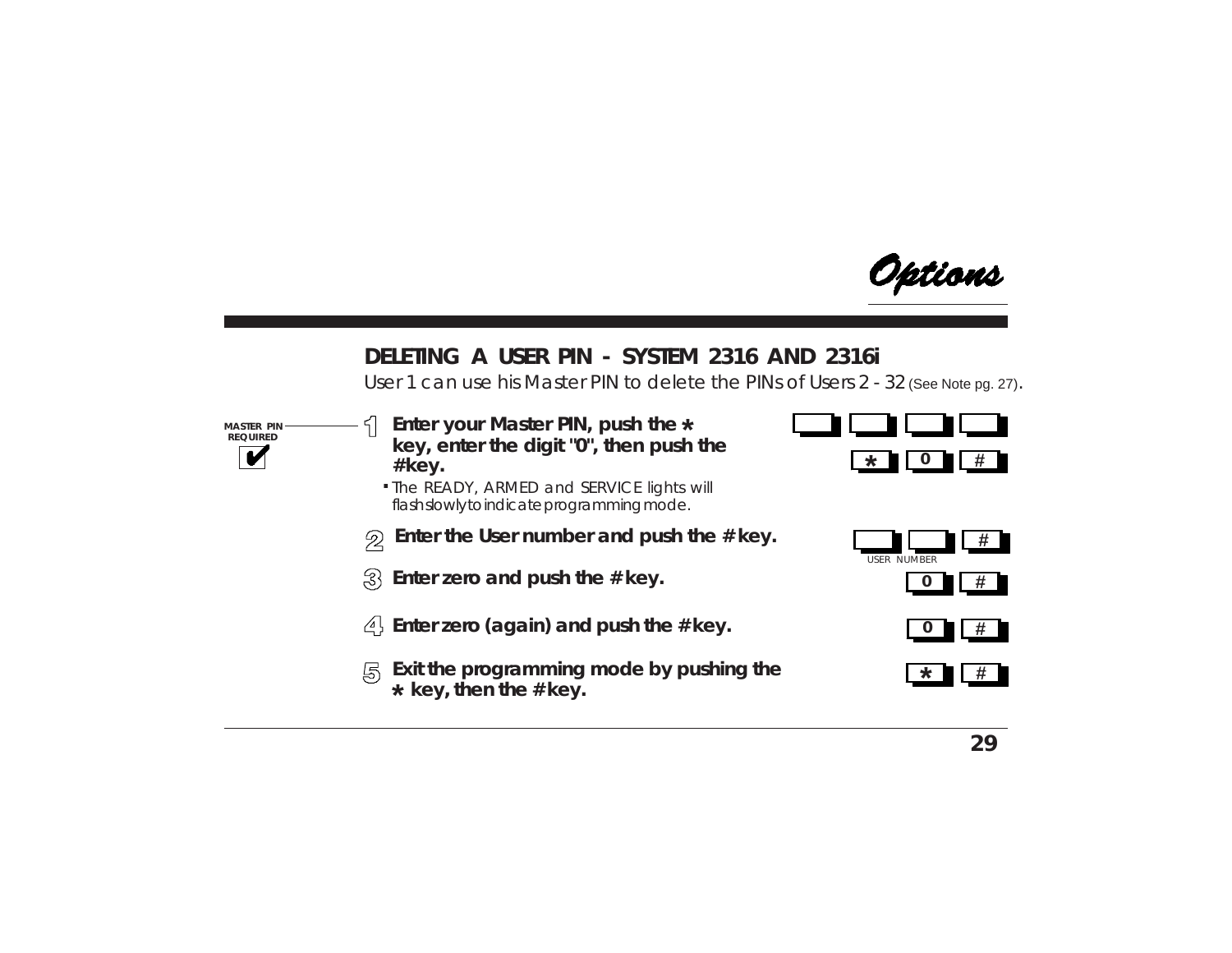

### **DELETING A USER PIN - SYSTEM 2316 AND 2316i**

User 1 can use his Master PIN to delete the PINs of Users 2 - 32 (See Note pg. 27).

**MASTER PIN REQUIRED**

- **Enter your Master PIN, push the \*key, enter the digit "0", then push the # key.**
- **.** The READY, ARMED and SERVICE lights will flash slowly to indicate programming mode.
- **Enter the User number and push the # key.**  $\mathfrak{D}$
- $\{3\}$  Enter zero and push the # key.
- **Enter zero (again) and push the # key.**
- **K** Exit the programming mode by pushing the  **key, then the # key. \***









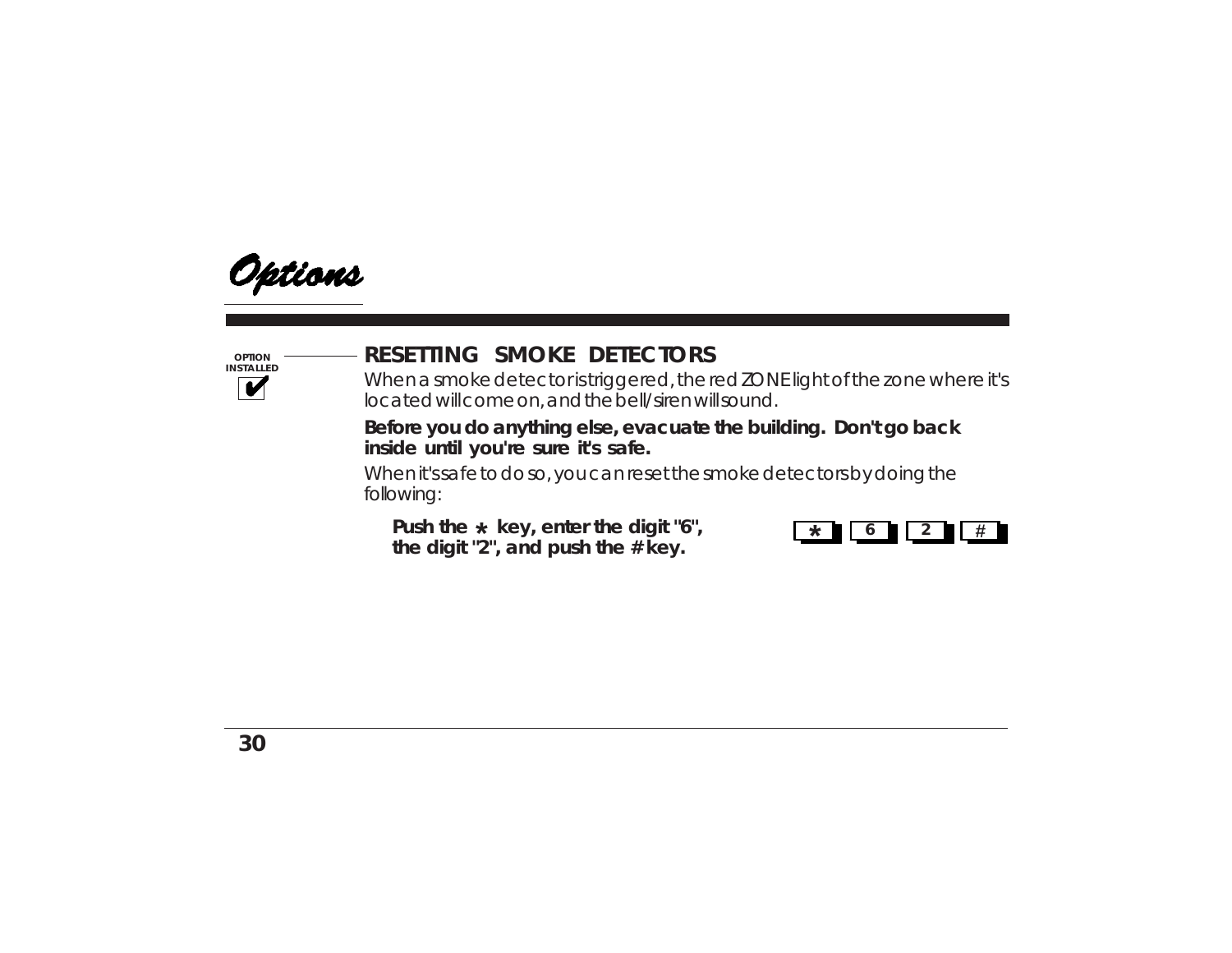

**OPTION INSTALLED**

## **RESETTING SMOKE DETECTORS**

When a smoke detector is triggered, the red ZONE light of the zone where it's located will come on, and the bell/siren will sound.

**Before you do anything else, evacuate the building. Don't go back inside until you're sure it's safe.**

When it's safe to do so, you can reset the smoke detectors by doing the following:

Push the  $\star$  key, enter the digit "6", **the digit "2", and push the # key.**

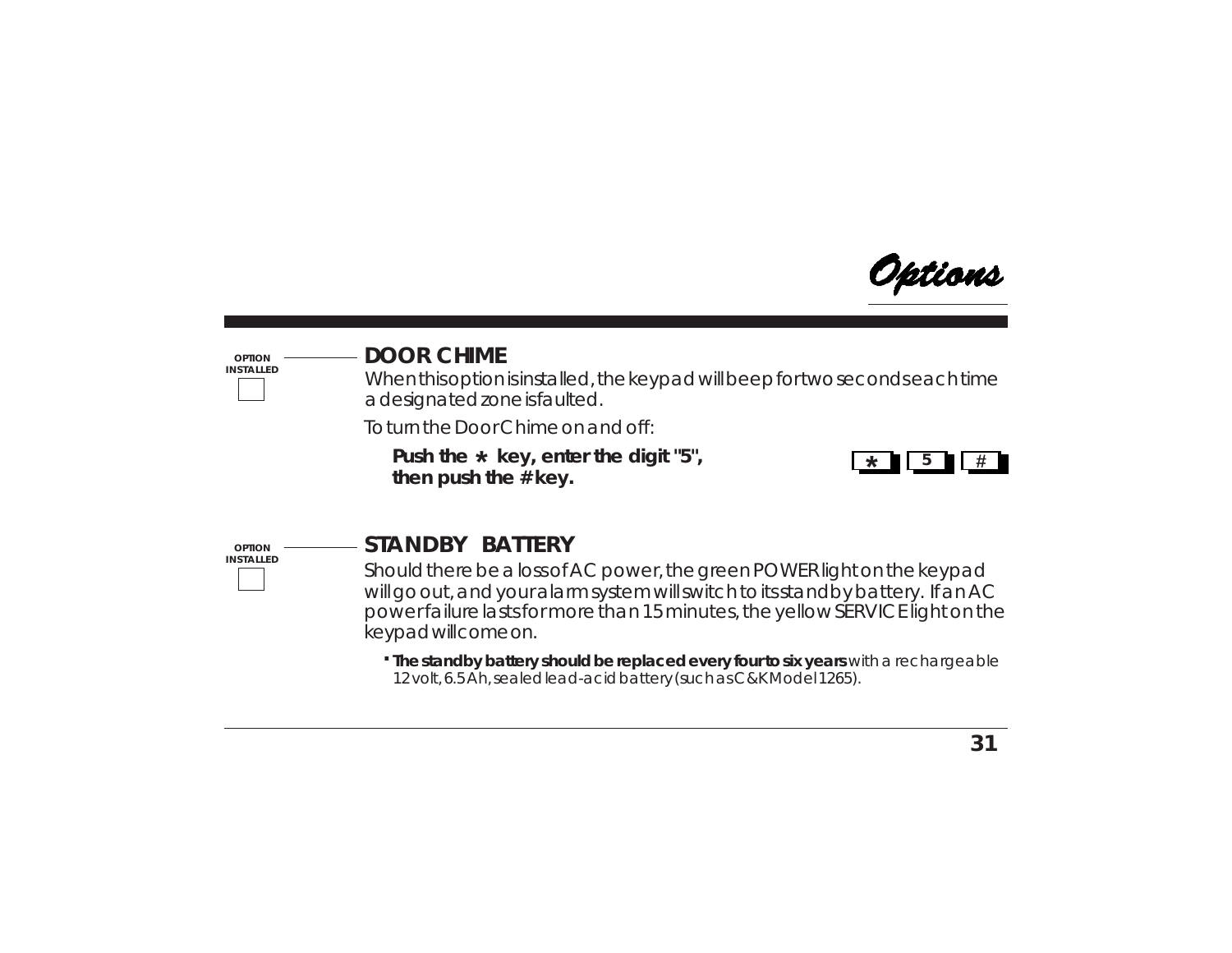

#### **OPTION INSTALLED**

### **DOOR CHIME**

When this option is installed, the keypad will beep for two seconds each time a designated zone is faulted.

To turn the Door Chime on and off:

**Push the key, enter the digit "5", # \* \*then push the # key.**



**OPTION INSTALLED**

### **STANDBY BATTERY**

Should there be a loss of AC power, the green POWER light on the keypad will go out, and your alarm system will switch to its standby battery. If an AC power failure lasts for more than 15 minutes, the yellow SERVICE light on the keypad will come on.

**. The standby battery should be replaced every four to six years** with a rechargeable 12 volt, 6.5 Ah, sealed lead-acid battery (such as C&K Model 1265).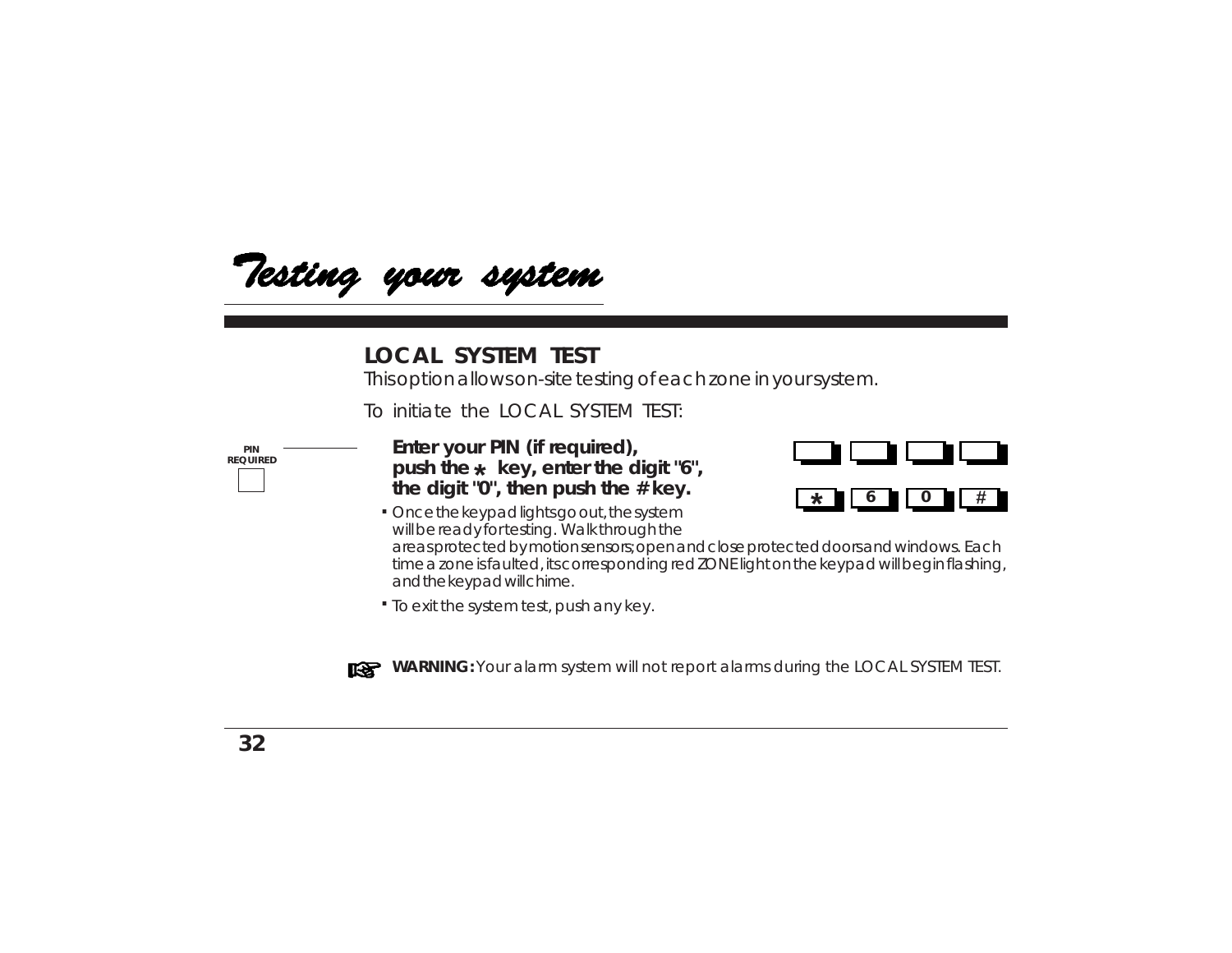

#### **LOCAL SYSTEM TEST**

This option allows on-site testing of each zone in your system.

To initiate the LOCAL SYSTEM TEST:

**PIN REQUIRED** **Enter your PIN (if required),** push the  $\star\,$  key, enter the digit "6", **the digit "0", then push the # key.**



Once the keypad lights go out, the system **.** will be ready for testing. Walk through the

areas protected by motion sensors; open and close protected doors and windows. Each time a zone is faulted, its corresponding red ZONE light on the keypad will begin flashing, and the keypad will chime.

To exit the system test, push any key. **.**



**WARNING:** Your alarm system will not report alarms during the LOCAL SYSTEM TEST.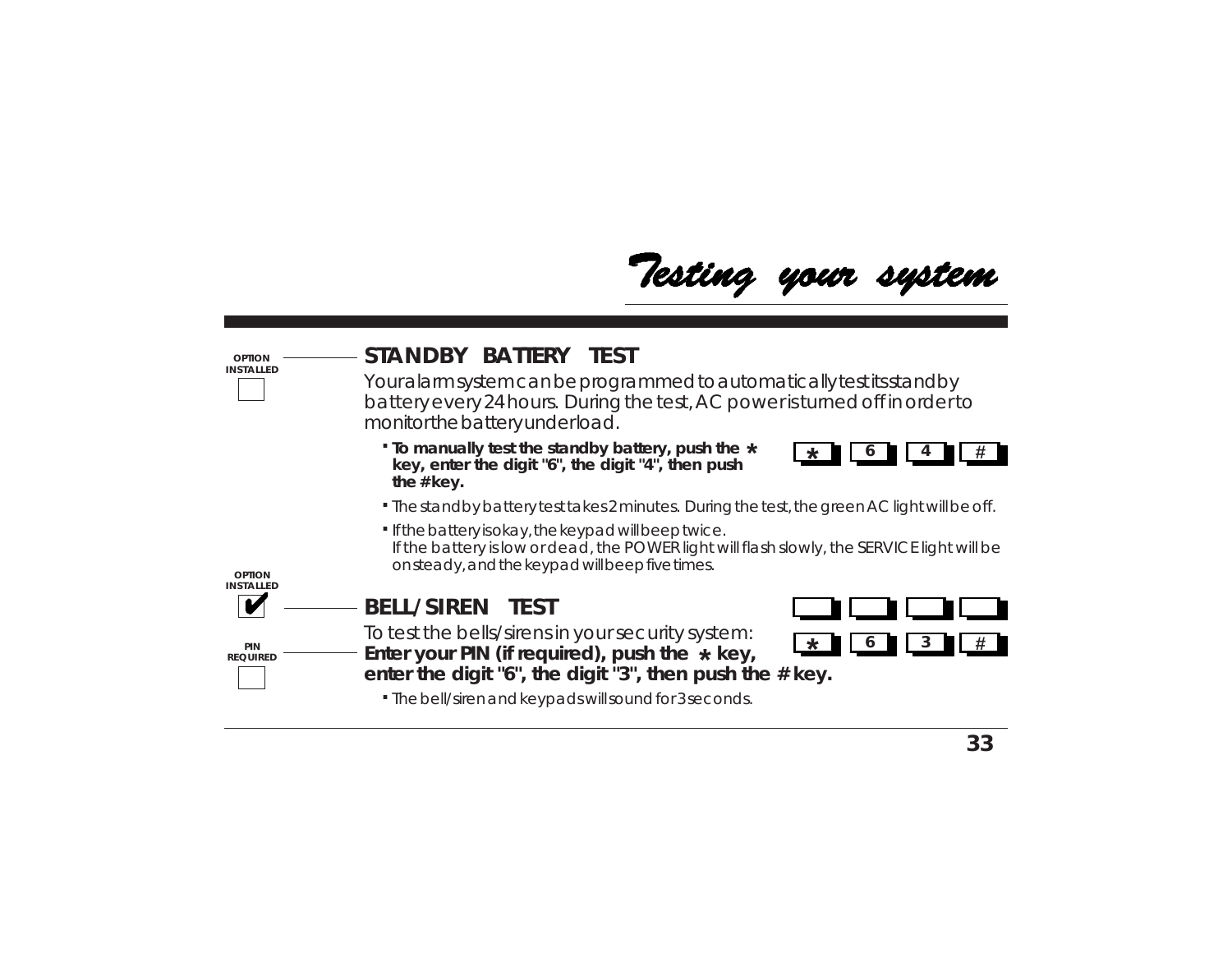

| <b>OPTION</b><br><b>INSTALLED</b> | STANDBY BATTERY TEST<br>Your alarm system can be programmed to automatically test its stand by<br>battery every 24 hours. During the test, AC power is turned off in order to<br>monitor the battery underload. |
|-----------------------------------|-----------------------------------------------------------------------------------------------------------------------------------------------------------------------------------------------------------------|
|                                   | . To manually test the standby battery, push the *<br>key, enter the digit "6", the digit "4", then push<br>the $#$ key.                                                                                        |
|                                   | · The standby battery test takes 2 minutes. During the test, the green AC light will be off.                                                                                                                    |
|                                   | · If the battery is okay, the keypad will beep twice.<br>If the battery is low or dead, the POWER light will flash slowly, the SERVICE light will be<br>onsteady, and the keypad will beep five times.          |
| OPTION<br><b>INSTALLED</b>        |                                                                                                                                                                                                                 |
|                                   | <b>BELL/SIREN TEST</b>                                                                                                                                                                                          |
| PIN<br><b>REQUIRED</b>            | To test the bells/sirens in your security system:<br>*<br>Enter your PIN (if required), push the $*$ key,<br>enter the digit "6", the digit "3", then push the # key.                                           |
|                                   | . The bell/siren and keypads will sound for 3 seconds.                                                                                                                                                          |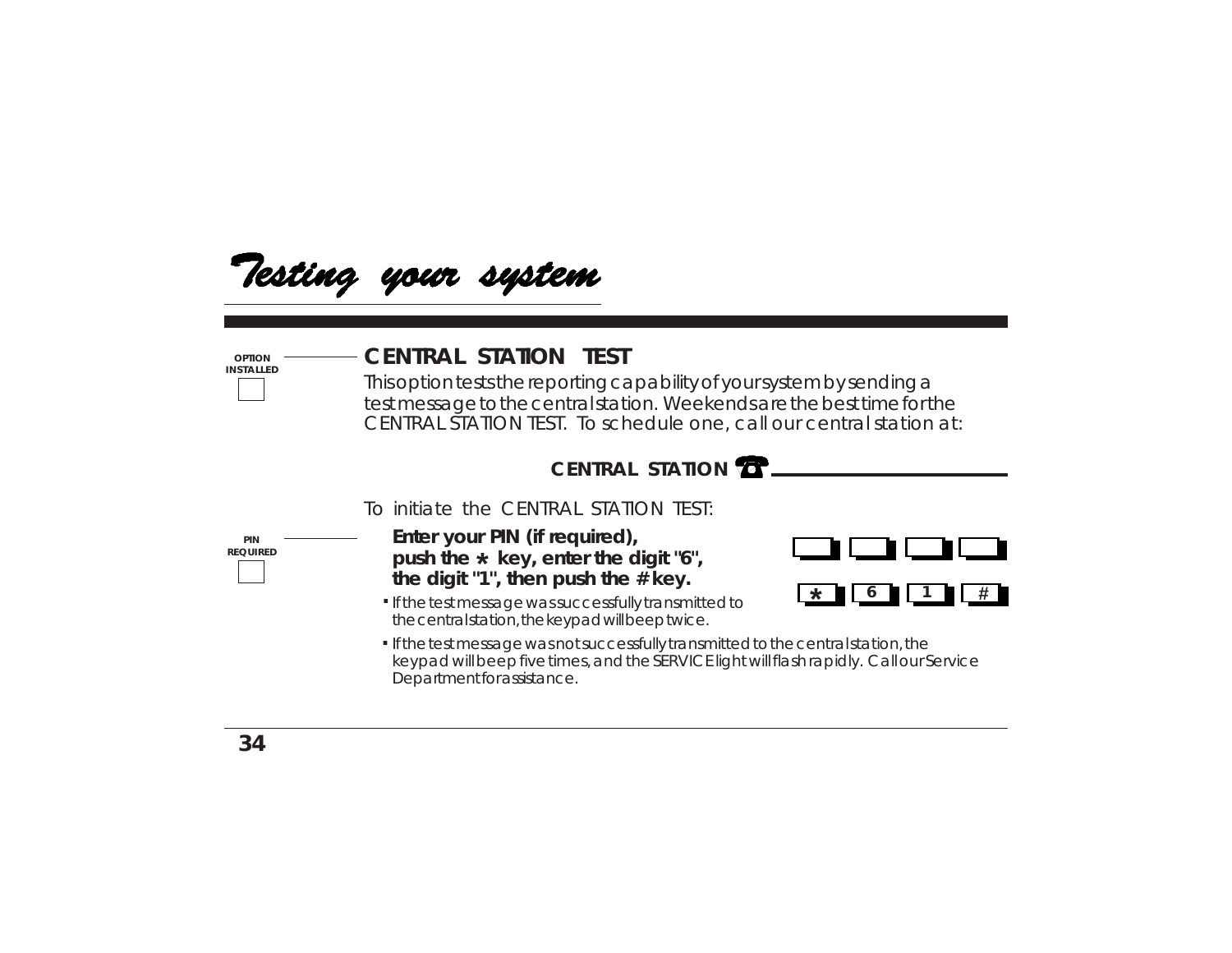

### **CENTRAL STATION TEST**

This option tests the reporting capability of your system by sending a test message to the central station. Weekends are the best time for the CENTRAL STATION TEST. To schedule one, call our central station at:



To initiate the CENTRAL STATION TEST:

**PIN REQUIRED**

**OPTION INSTALLED**

- **Enter your PIN (if required),** push the  $\star$  key, enter the digit "6", **the digit "1", then push the # key.**
- If the test message was successfully transmitted to **.** the central station, the keypad will beep twice.



If the test message was not successfully transmitted to the central station, the **.** keypad will beep five times, and the SERVICE light will flash rapidly. Call our Service Department for assistance.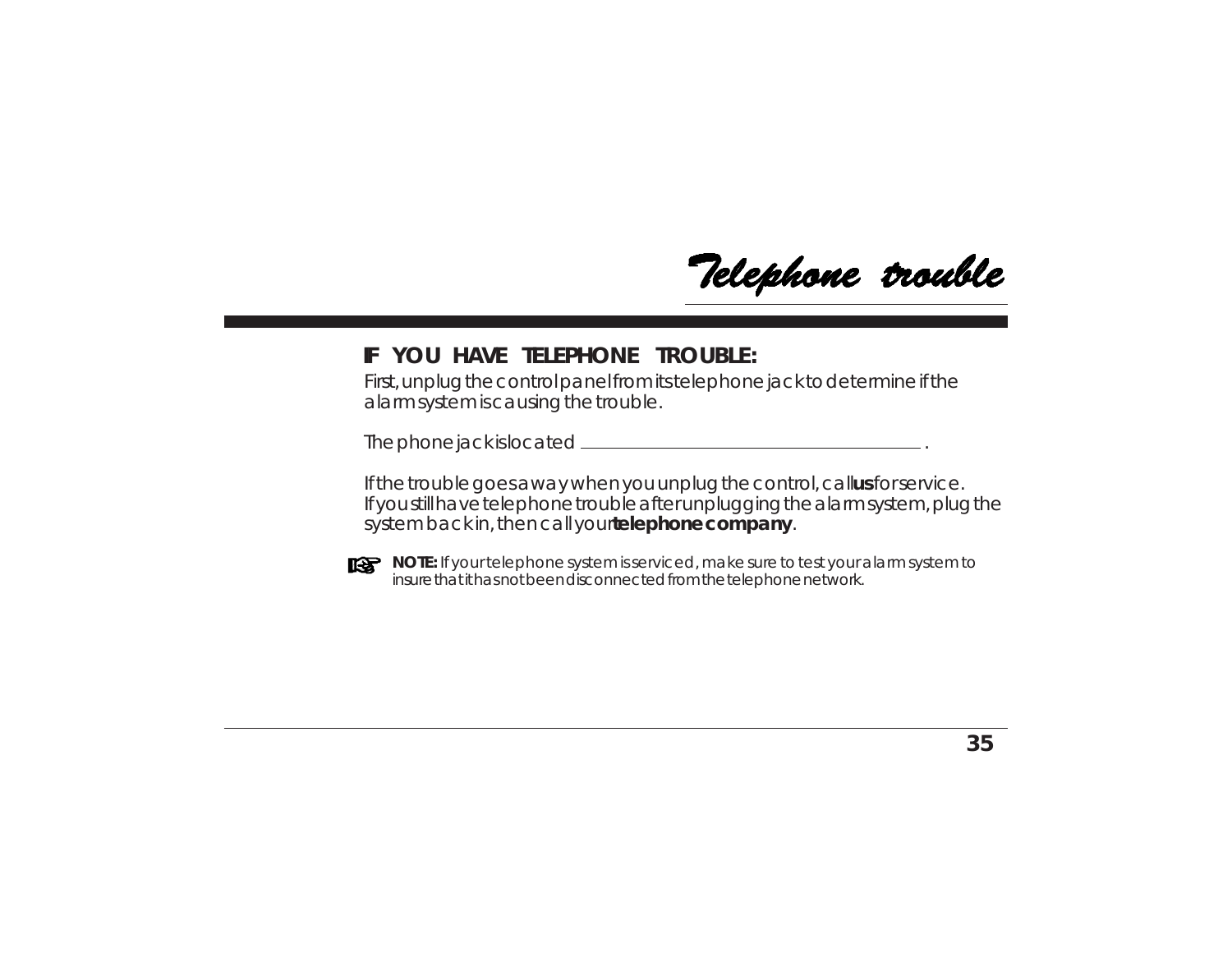Telephone trouble

### **IF YOU HAVE TELEPHONE TROUBLE:**

First, unplug the control panel from its telephone jack to determine if the alarm system is causing the trouble.

The phone jack is located .

If the trouble goes away when you unplug the control, callus for service. If you still have telephone trouble after unplugging the alarm system, plug the system back in, then call your **telephone company**.



**NOTE:** If your telephone system is serviced, make sure to test your alarm system to insure that it has not been disconnected from the telephone network.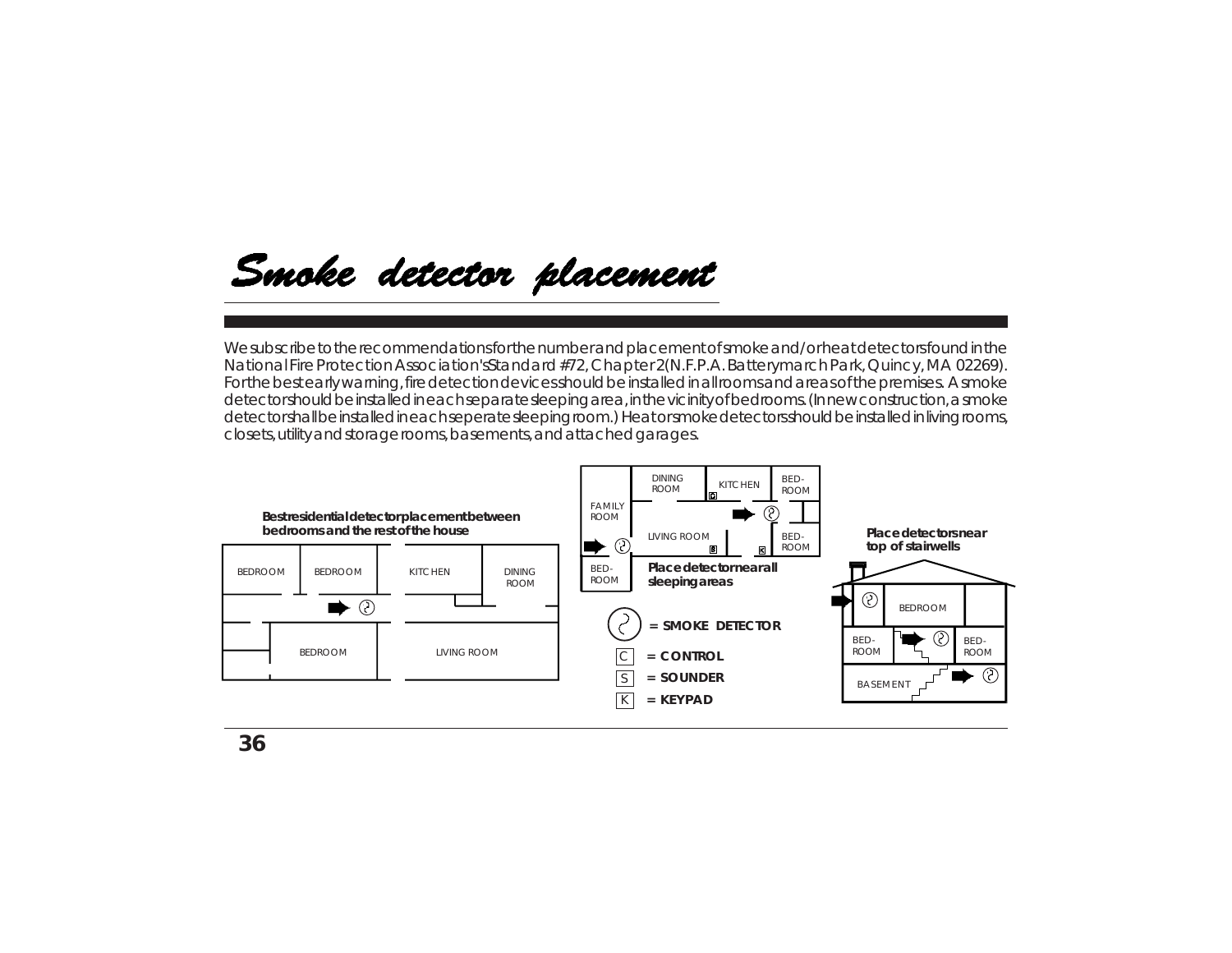## Smoke detector placement

We subscribe to the recommendations for the number and placement of smoke and/or heat detectors found in the National Fire Protection Association's *Standard #72, Chapter 2* (N.F.P.A. Batterymarch Park, Quincy, MA 02269). For the best early warning, fire detection devices should be installed in all rooms and areas of the premises. A smoke detector should be installed in each separate sleeping area, in the vicinity of bedrooms. (In new construction, a smoke detector shall be installed in each seperate sleeping room.) Heat or smoke detectors should be installed in living rooms, closets, utility and storage rooms, basements, and attached garages.

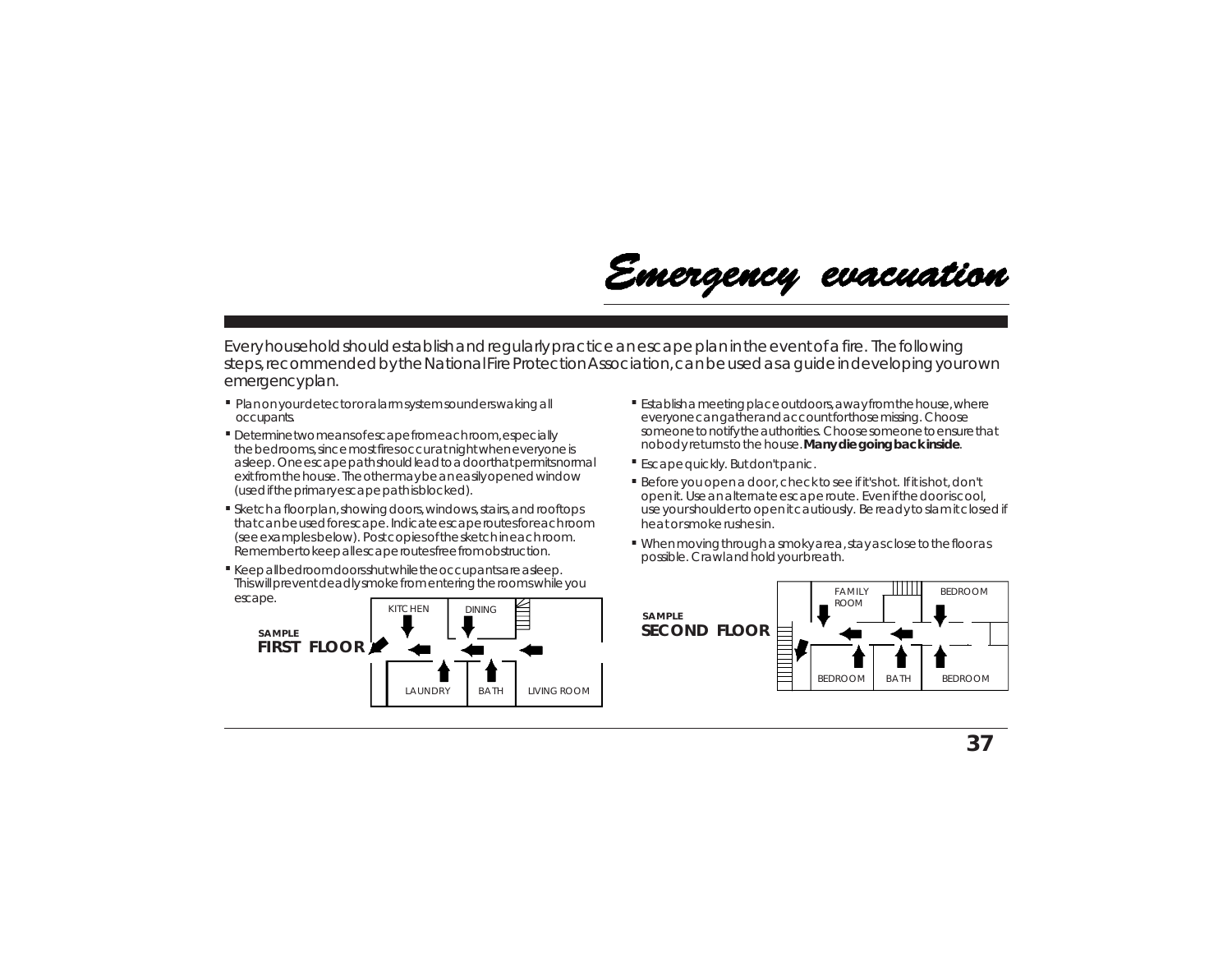

Every household should establish and regularly practice an escape plan in the event of a fire. The following steps, recommended by the National Fire Protection Association, can be used as a guide in developing your own emergency plan.

- **. .** Plan on your detector or alarm system sounders waking all occupants.
- **.** Determine two means of escape from each room, especially the bedrooms, since most fires occur at night when everyone is asleep. One escape path should lead to a door that permits normal exit from the house. The other may be an easily opened window (used if the primary escape path is blocked).
- **.** Sketch a floor plan, showing doors, windows, stairs, and rooftops that can be used for escape. Indicate escape routes for each room (see examples below). Post copies of the sketch in each room. Remember to keep all escape routes free from obstruction.
- **Keep all bedroom doors shut while the occupants are asleep.** This will prevent deadly smoke from entering the rooms while you escape.



- Establish a meeting place outdoors, away from the house, where everyone can gather and account for those missing. Choose someone to notify the authorities. Choose someone to ensure that nobody returns to the house. **Many die going back inside**.
- Escape quickly. But don't panic. **.**
- Before you open a door, check to see if it's hot. If it is hot, don't **.** open it. Use an alternate escape route. Even if the door is cool, use your shoulder to open it cautiously. Be ready to slam it closed if heat or smoke rushes in.
- When moving through a smoky area, stay as close to the floor as **.** possible. Crawl and hold your breath.

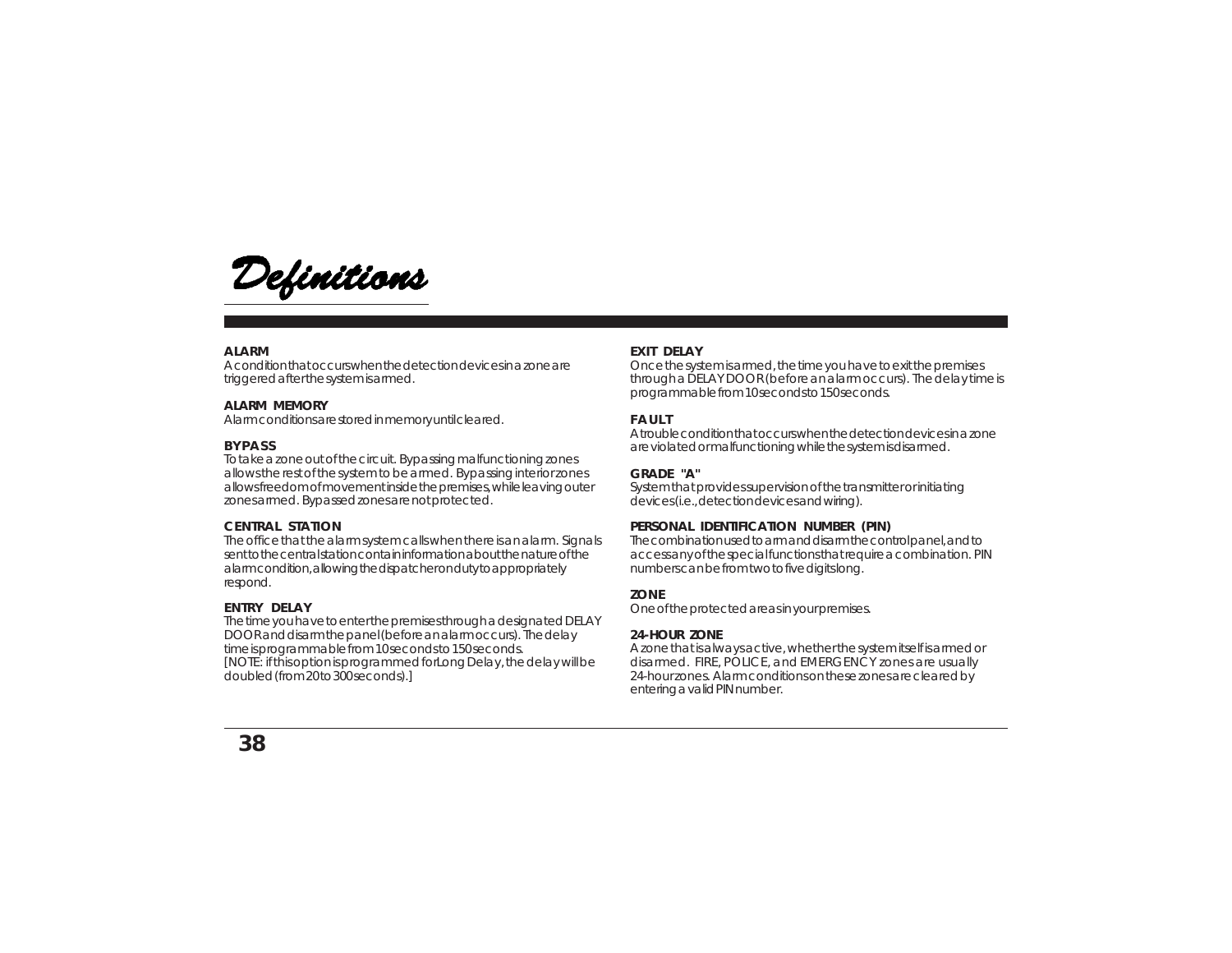

#### **ALARM**

A condition that occurs when the detection devices in a zone are triggered after the system is armed.

#### **ALARM MEMORY**

Alarm conditions are stored in memory until cleared.

#### **BYPASS**

To take a zone out of the circuit. Bypassing malfunctioning zones allows the rest of the system to be armed. Bypassing interior zones allows freedom of movement inside the premises, while leaving outer zones armed. Bypassed zones are not protected.

#### **CENTRAL STATION**

The office that the alarm system calls when there is an alarm. Signals sent to the central station contain information about the nature of the alarm condition, allowing the dispatcher on duty to appropriately respond.

#### **ENTRY DELAY**

The time you have to enter the premises through a designated DELAY DOOR and disarm the panel (before an alarm occurs). The delay time is programmable from 10 seconds to 150 seconds. [NOTE: if this option is programmed for *Long Delay*, the delay will be doubled (from 20 to 300 seconds).]

#### **EXIT DELAY**

Once the system is armed, the time you have to exit the premises through a DELAY DOOR (before an alarm occurs). The delay time is programmable from 10 seconds to 150 seconds.

#### **FAULT**

A trouble condition that occurs when the detection devices in a zone are violated or malfunctioning while the system is disarmed.

#### **GRADE "A"**

System that provides supervision of the transmitter or initiating devices (i.e., detection devices and wiring).

#### **PERSONAL IDENTIFICATION NUMBER (PIN)**

The combination used to arm and disarm the control panel, and to access any of the special functions that require a combination. PIN numbers can be from two to five digits long.

#### **ZONE**

One of the protected areas in your premises.

#### **24-HOUR ZONE**

A zone that is always active, whether the system itself is armed or disarmed. FIRE, POLICE, and EMERGENCY zones are usually 24-hour zones. Alarm conditions on these zones are cleared by entering a valid PIN number.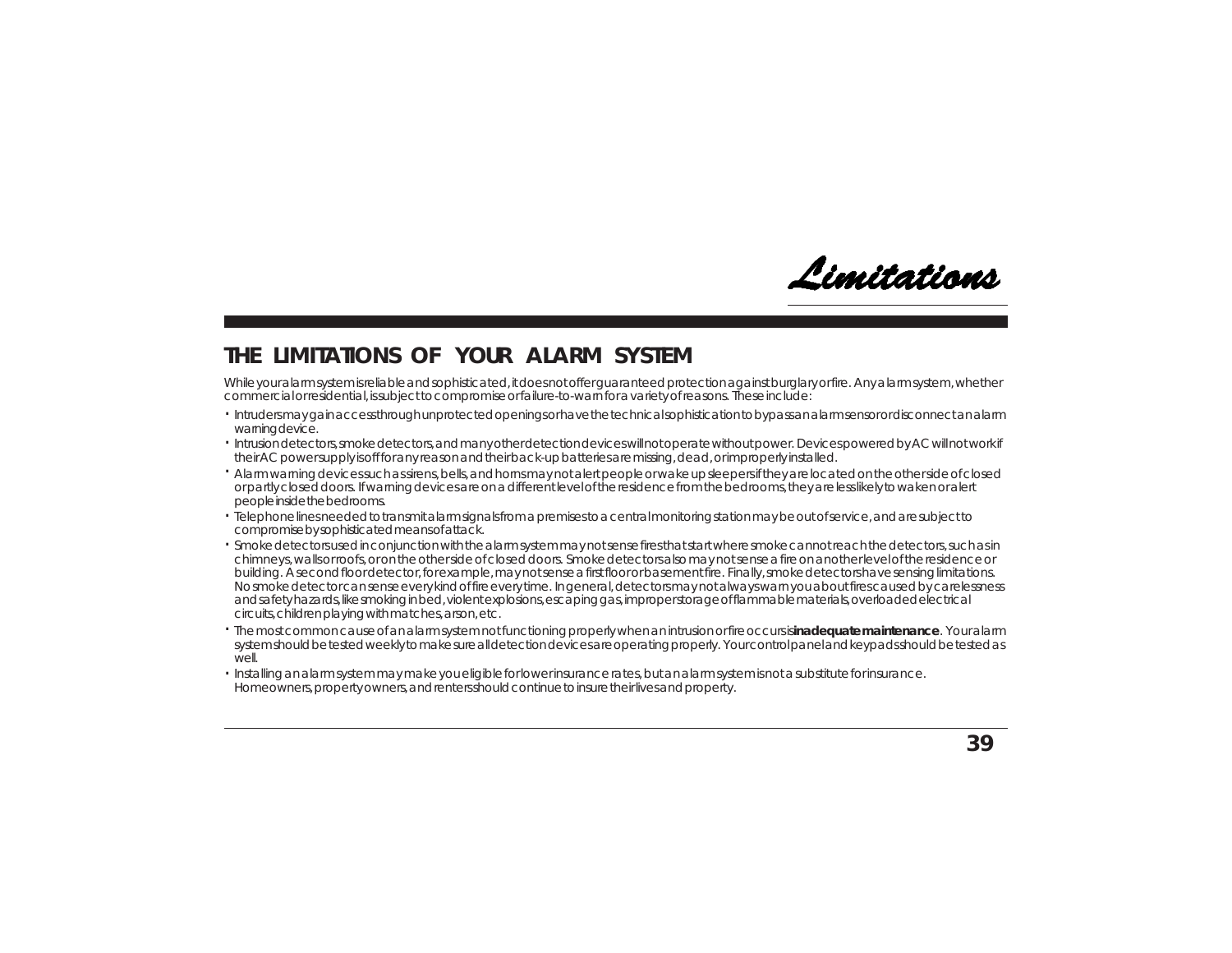

### **THE LIMITATIONS OF YOUR ALARM SYSTEM**

While your alarm system is reliable and sophisticated, it does not offer guaranteed protection against burglary or fire. Any alarm system, whether commercial or residential, is subject to compromise or failure-to-warn for a variety of reasons. These include:

- · Intruders may gain access through unprotected openings or have the technical sophistication to bypass an alarm sensor or disconnect an alarm warning device.
- Intrusion detectors, smoke detectors, and many other detection devices will not operate without power. Devices powered by AC will not work if . their AC power supply is off for any reason and their back-up batteries are missing, dead, or improperly installed.
- Alarm warning devices such as sirens, bells, and horns may not alert people or wake up sleepers if they are located on the other side of closed . or partly closed doors. If warning devices are on a different level of the residence from the bedrooms, they are less likely to waken or alert people inside the bedrooms.
- Telephone lines needed to transmit alarm signals from a premises to a central monitoring station may be out of service, and are subject to . compromise by sophisticated means of attack.
- $\cdot$  Smoke detectors used in conjunction with the alarm system may not sense fires that start where smoke cannot reach the detectors, such as in chimneys, walls or roofs, or on the other side of closed doors. Smoke detectors also may not sense a fire on another level of the residence or building. A second floor detector, for example, may not sense a first floor or basement fire. Finally, smoke detectors have sensing limitations. No smoke detector can sense every kind of fire every time. In general, detectors may not always warn you about fires caused by carelessness and safety hazards, like smoking in bed, violent explosions, escaping gas, improper storage of flammable materials, overloaded electrical circuits, children playing with matches, arson, etc.
- The most common cause of an alarm system not functioning properly when an intrusion or fire occurs is **inadequate maintenance**. Your alarm . system should be tested weekly to make sure all detection devices are operating properly. Your control panel and keypads should be tested as  $M$  $\approx$
- Installing an alarm system may make you eligible for lower insurance rates, but an alarm system is not a substitute for insurance. .Homeowners, property owners, and renters should continue to insure their lives and property.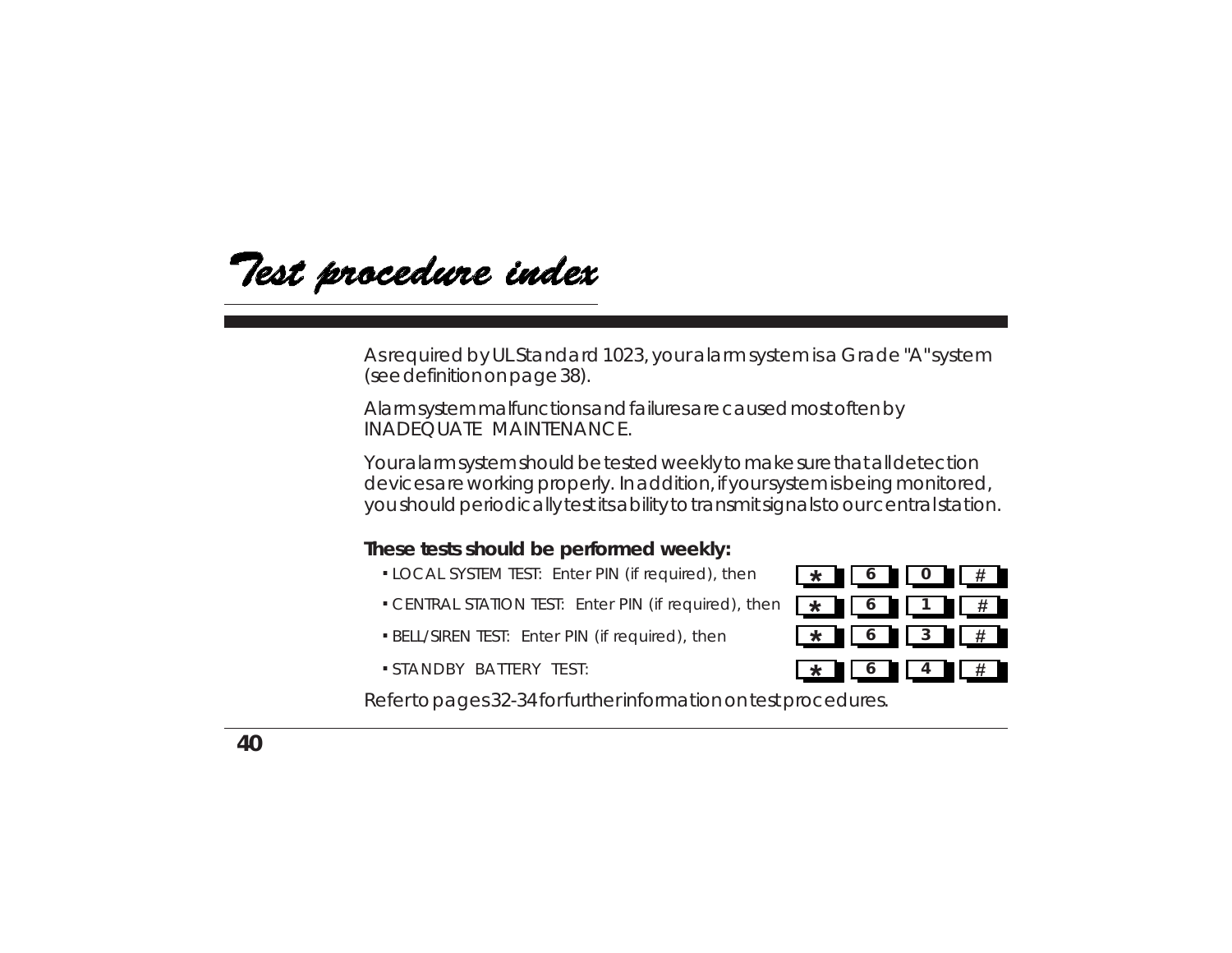Test procedure index

As required by UL Standard 1023, your alarm system is a Grade "A" system (see definition on page 38).

Alarm system malfunctions and failures are caused most often by INADEQUATE MAINTENANCE.

Your alarm system should be tested weekly to make sure that all detection devices are working properly. In addition, if your system is being monitored, you should periodically test its ability to transmit signals to our central station.

#### **These tests should be performed weekly:**

- **.** LOCAL SYSTEM TEST: Enter PIN (if required), then
- **.** CENTRAL STATION TEST: Enter PIN (if required), then
- **.** BELL/SIREN TEST: Enter PIN (if required), then
- **.** STANDBY BATTERY TEST:



Refer to pages 32-34 for further information on test procedures.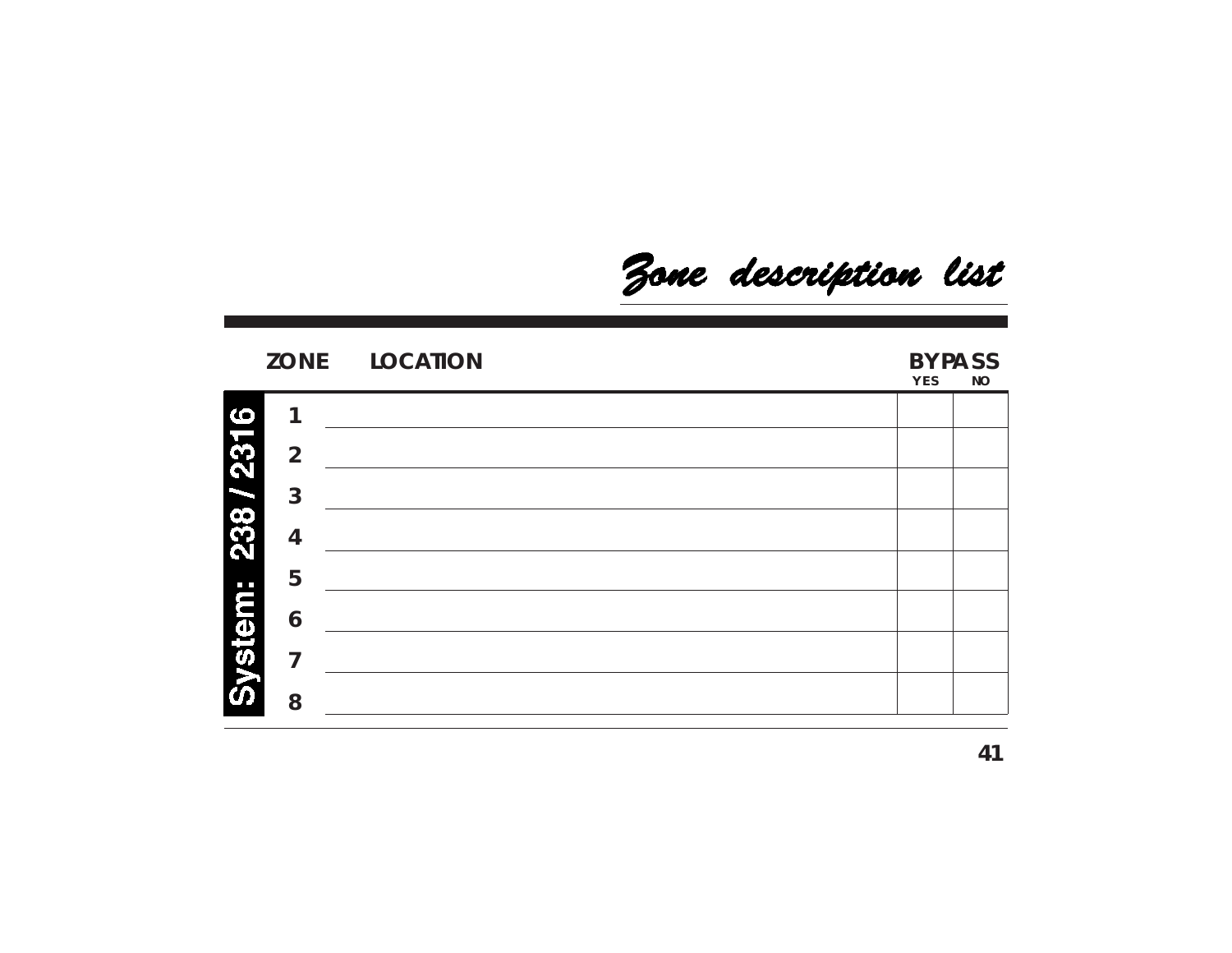Zone description list

|                |                | ZONE LOCATION | <b>BYPASS</b><br>YES<br><b>NO</b> |  |
|----------------|----------------|---------------|-----------------------------------|--|
|                | 1              |               |                                   |  |
|                | $\overline{2}$ |               |                                   |  |
|                | $\overline{3}$ |               |                                   |  |
| 238 / 2316     | 4              |               |                                   |  |
|                | 5              |               |                                   |  |
| <b>System:</b> | 6              |               |                                   |  |
|                | 7              |               |                                   |  |
|                | 8              |               |                                   |  |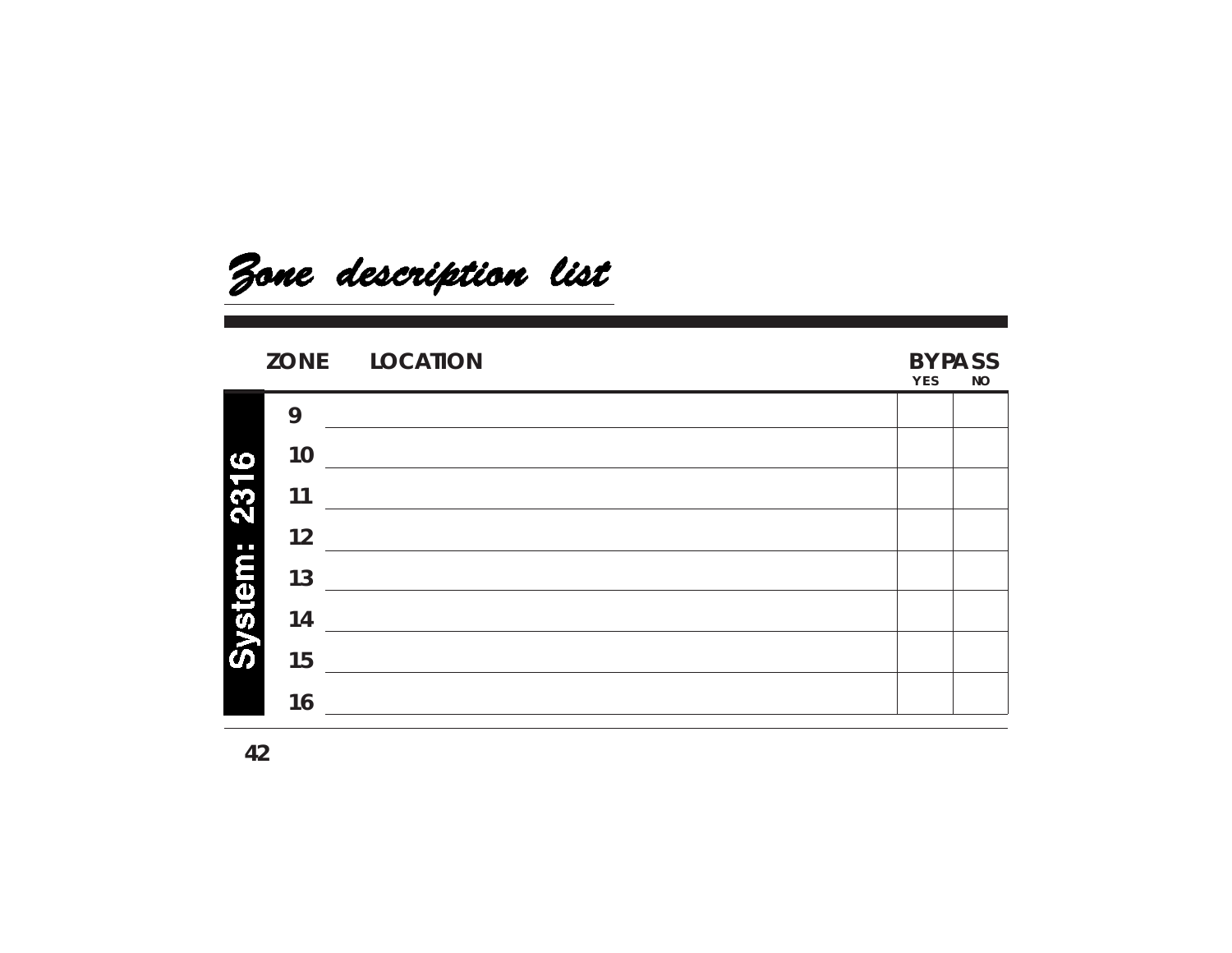

### **ZONE LOCATION BYPASS**

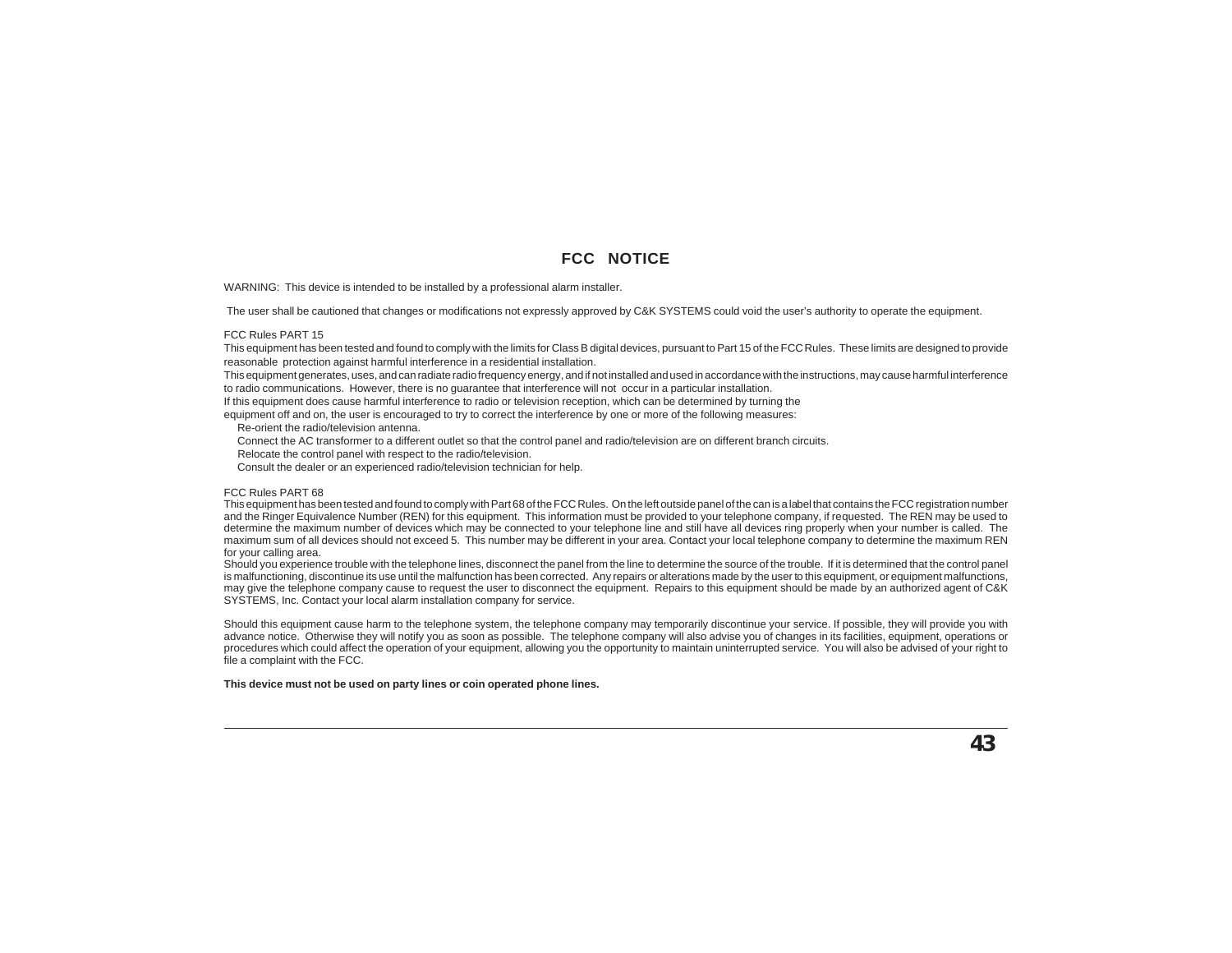#### **FCC NOTICE**

WARNING: This device is intended to be installed by a professional alarm installer.

The user shall be cautioned that changes or modifications not expressly approved by C&K SYSTEMS could void the user's authority to operate the equipment.

#### FCC Rules PART 15

This equipment has been tested and found to comply with the limits for Class B digital devices, pursuant to Part 15 of the FCC Rules. These limits are designed to provide reasonable protection against harmful interference in a residential installation.

This equipment generates, uses, and can radiate radio frequency energy, and if not installed and used in accordance with the instructions, may cause harmful interference to radio communications. However, there is no guarantee that interference will not occur in a particular installation.

If this equipment does cause harmful interference to radio or television reception, which can be determined by turning the

equipment off and on, the user is encouraged to try to correct the interference by one or more of the following measures:

Re-orient the radio/television antenna.

Connect the AC transformer to a different outlet so that the control panel and radio/television are on different branch circuits.

Relocate the control panel with respect to the radio/television.

Consult the dealer or an experienced radio/television technician for help.

#### FCC Rules PART 68

This equipment has been tested and found to comply with Part 68 of the FCC Rules. On the left outside panel of the can is a label that contains the FCC registration number and the Ringer Equivalence Number (REN) for this equipment. This information must be provided to your telephone company, if requested. The REN may be used to determine the maximum number of devices which may be connected to your telephone line and still have all devices ring properly when your number is called. The maximum sum of all devices should not exceed 5. This number may be different in your area. Contact your local telephone company to determine the maximum REN for your calling area.

Should you experience trouble with the telephone lines, disconnect the panel from the line to determine the source of the trouble. If it is determined that the control panel is malfunctioning, discontinue its use until the malfunction has been corrected. Any repairs or alterations made by the user to this equipment, or equipment malfunctions, may give the telephone company cause to request the user to disconnect the equipment. Repairs to this equipment should be made by an authorized agent of C&K SYSTEMS, Inc. Contact your local alarm installation company for service.

Should this equipment cause harm to the telephone system, the telephone company may temporarily discontinue your service. If possible, they will provide you with advance notice. Otherwise they will notify you as soon as possible. The telephone company will also advise you of changes in its facilities, equipment, operations or procedures which could affect the operation of your equipment, allowing you the opportunity to maintain uninterrupted service. You will also be advised of your right to file a complaint with the FCC.

**This device must not be used on party lines or coin operated phone lines.**